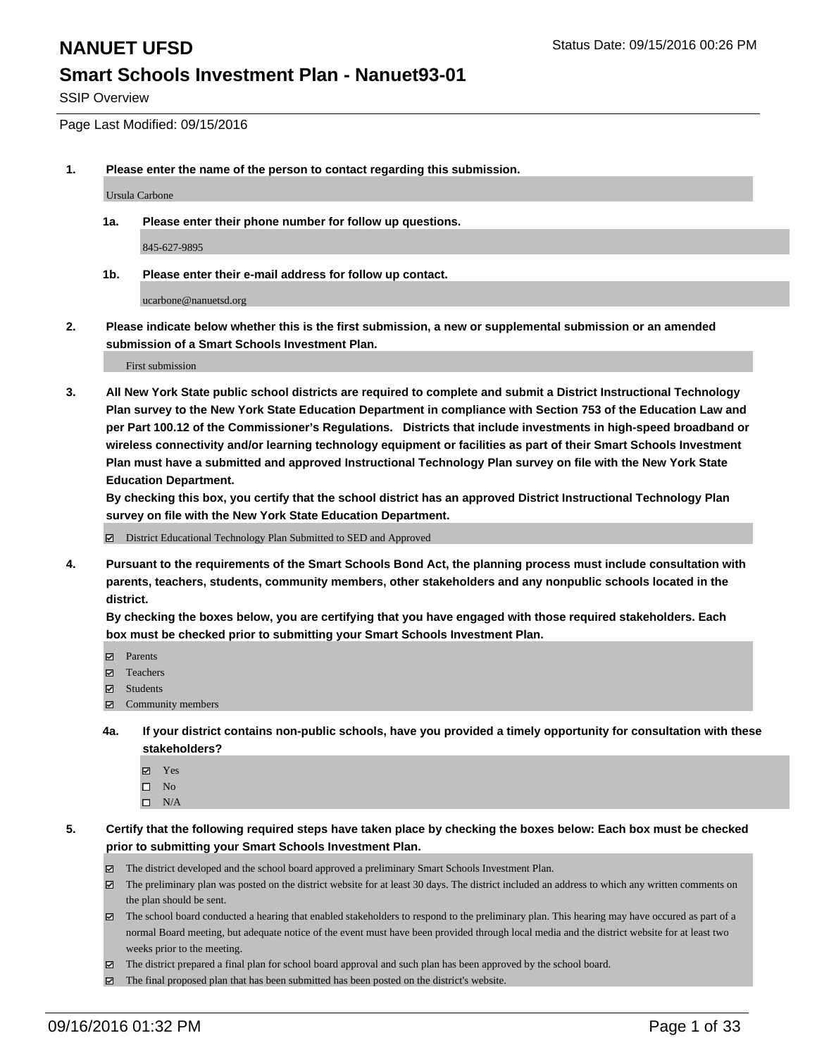SSIP Overview

Page Last Modified: 09/15/2016

**1. Please enter the name of the person to contact regarding this submission.**

Ursula Carbone

**1a. Please enter their phone number for follow up questions.**

845-627-9895

**1b. Please enter their e-mail address for follow up contact.**

ucarbone@nanuetsd.org

**2. Please indicate below whether this is the first submission, a new or supplemental submission or an amended submission of a Smart Schools Investment Plan.**

First submission

**3. All New York State public school districts are required to complete and submit a District Instructional Technology Plan survey to the New York State Education Department in compliance with Section 753 of the Education Law and per Part 100.12 of the Commissioner's Regulations. Districts that include investments in high-speed broadband or wireless connectivity and/or learning technology equipment or facilities as part of their Smart Schools Investment Plan must have a submitted and approved Instructional Technology Plan survey on file with the New York State Education Department.** 

**By checking this box, you certify that the school district has an approved District Instructional Technology Plan survey on file with the New York State Education Department.**

District Educational Technology Plan Submitted to SED and Approved

**4. Pursuant to the requirements of the Smart Schools Bond Act, the planning process must include consultation with parents, teachers, students, community members, other stakeholders and any nonpublic schools located in the district.** 

**By checking the boxes below, you are certifying that you have engaged with those required stakeholders. Each box must be checked prior to submitting your Smart Schools Investment Plan.**

- Parents
- Teachers
- $\boxtimes$  Students
- Community members
- **4a. If your district contains non-public schools, have you provided a timely opportunity for consultation with these stakeholders?**
	- Yes  $\square$  No
	- $\square$  N/A
- **5. Certify that the following required steps have taken place by checking the boxes below: Each box must be checked prior to submitting your Smart Schools Investment Plan.**
	- The district developed and the school board approved a preliminary Smart Schools Investment Plan.
	- The preliminary plan was posted on the district website for at least 30 days. The district included an address to which any written comments on the plan should be sent.
	- The school board conducted a hearing that enabled stakeholders to respond to the preliminary plan. This hearing may have occured as part of a normal Board meeting, but adequate notice of the event must have been provided through local media and the district website for at least two weeks prior to the meeting.
	- The district prepared a final plan for school board approval and such plan has been approved by the school board.
	- The final proposed plan that has been submitted has been posted on the district's website.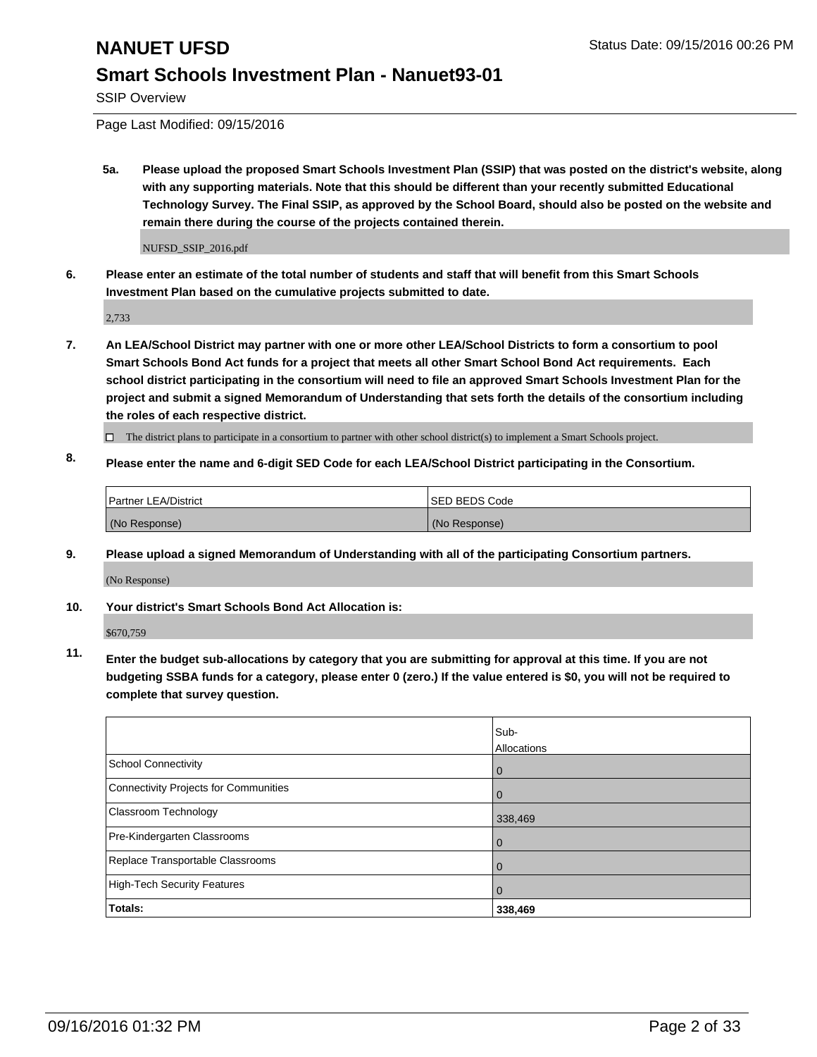SSIP Overview

Page Last Modified: 09/15/2016

**5a. Please upload the proposed Smart Schools Investment Plan (SSIP) that was posted on the district's website, along with any supporting materials. Note that this should be different than your recently submitted Educational Technology Survey. The Final SSIP, as approved by the School Board, should also be posted on the website and remain there during the course of the projects contained therein.**

NUFSD\_SSIP\_2016.pdf

**6. Please enter an estimate of the total number of students and staff that will benefit from this Smart Schools Investment Plan based on the cumulative projects submitted to date.**

2,733

- **7. An LEA/School District may partner with one or more other LEA/School Districts to form a consortium to pool Smart Schools Bond Act funds for a project that meets all other Smart School Bond Act requirements. Each school district participating in the consortium will need to file an approved Smart Schools Investment Plan for the project and submit a signed Memorandum of Understanding that sets forth the details of the consortium including the roles of each respective district.**
	- $\Box$  The district plans to participate in a consortium to partner with other school district(s) to implement a Smart Schools project.
- **8. Please enter the name and 6-digit SED Code for each LEA/School District participating in the Consortium.**

| <b>Partner LEA/District</b> | <b>ISED BEDS Code</b> |
|-----------------------------|-----------------------|
| (No Response)               | (No Response)         |

**9. Please upload a signed Memorandum of Understanding with all of the participating Consortium partners.**

(No Response)

### **10. Your district's Smart Schools Bond Act Allocation is:**

\$670,759

**11. Enter the budget sub-allocations by category that you are submitting for approval at this time. If you are not budgeting SSBA funds for a category, please enter 0 (zero.) If the value entered is \$0, you will not be required to complete that survey question.**

|                                       | Sub-<br>Allocations |
|---------------------------------------|---------------------|
| <b>School Connectivity</b>            | 0                   |
| Connectivity Projects for Communities | 0                   |
| Classroom Technology                  | 338,469             |
| Pre-Kindergarten Classrooms           | $\Omega$            |
| Replace Transportable Classrooms      | $\Omega$            |
| High-Tech Security Features           | $\Omega$            |
| <b>Totals:</b>                        | 338,469             |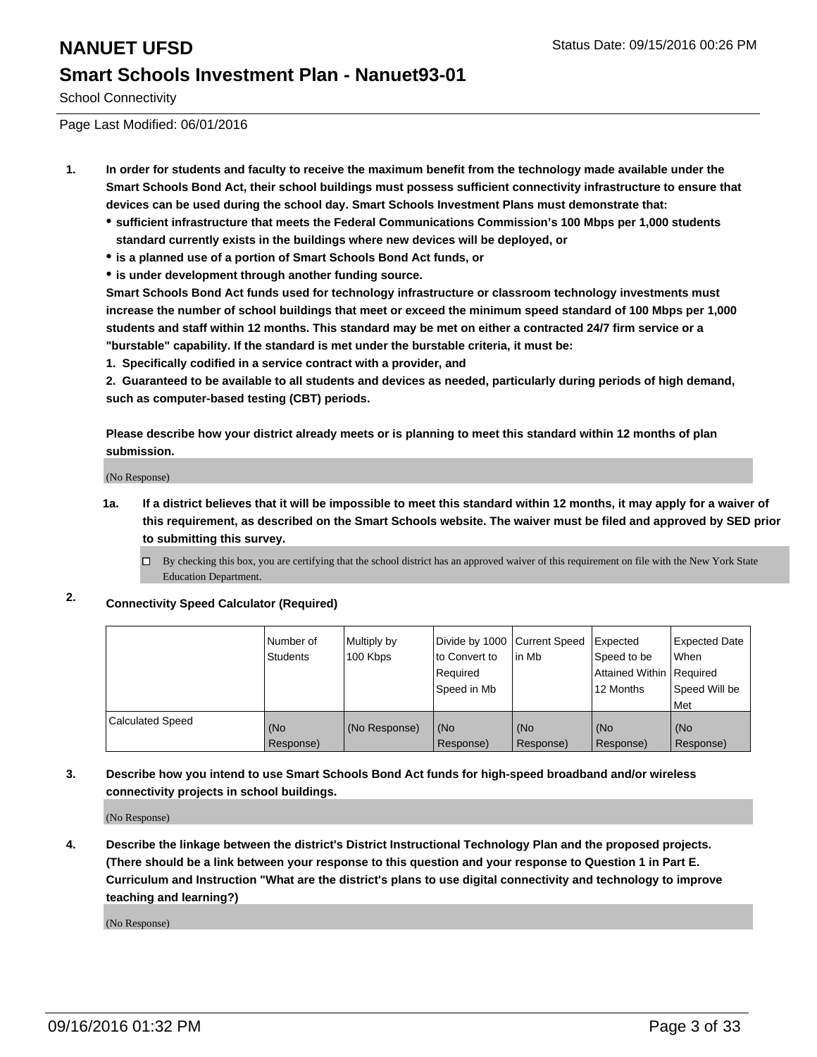School Connectivity

Page Last Modified: 06/01/2016

- **1. In order for students and faculty to receive the maximum benefit from the technology made available under the Smart Schools Bond Act, their school buildings must possess sufficient connectivity infrastructure to ensure that devices can be used during the school day. Smart Schools Investment Plans must demonstrate that:**
	- **sufficient infrastructure that meets the Federal Communications Commission's 100 Mbps per 1,000 students standard currently exists in the buildings where new devices will be deployed, or**
	- **is a planned use of a portion of Smart Schools Bond Act funds, or**
	- **is under development through another funding source.**

**Smart Schools Bond Act funds used for technology infrastructure or classroom technology investments must increase the number of school buildings that meet or exceed the minimum speed standard of 100 Mbps per 1,000 students and staff within 12 months. This standard may be met on either a contracted 24/7 firm service or a "burstable" capability. If the standard is met under the burstable criteria, it must be:**

**1. Specifically codified in a service contract with a provider, and**

**2. Guaranteed to be available to all students and devices as needed, particularly during periods of high demand, such as computer-based testing (CBT) periods.**

**Please describe how your district already meets or is planning to meet this standard within 12 months of plan submission.**

(No Response)

- **1a. If a district believes that it will be impossible to meet this standard within 12 months, it may apply for a waiver of this requirement, as described on the Smart Schools website. The waiver must be filed and approved by SED prior to submitting this survey.**
	- $\Box$  By checking this box, you are certifying that the school district has an approved waiver of this requirement on file with the New York State Education Department.
- **2. Connectivity Speed Calculator (Required)**

|                         | Number of<br><b>Students</b> | Multiply by<br>100 Kbps | Divide by 1000 Current Speed<br>to Convert to<br>Required<br>Speed in Mb | lin Mb           | Expected<br>Speed to be<br>Attained Within Required<br>12 Months | Expected Date<br>l When<br>Speed Will be<br>l Met |
|-------------------------|------------------------------|-------------------------|--------------------------------------------------------------------------|------------------|------------------------------------------------------------------|---------------------------------------------------|
| <b>Calculated Speed</b> | (No<br>Response)             | (No Response)           | (No<br>Response)                                                         | (No<br>Response) | (No<br>Response)                                                 | (No<br>Response)                                  |

### **3. Describe how you intend to use Smart Schools Bond Act funds for high-speed broadband and/or wireless connectivity projects in school buildings.**

(No Response)

**4. Describe the linkage between the district's District Instructional Technology Plan and the proposed projects. (There should be a link between your response to this question and your response to Question 1 in Part E. Curriculum and Instruction "What are the district's plans to use digital connectivity and technology to improve teaching and learning?)**

(No Response)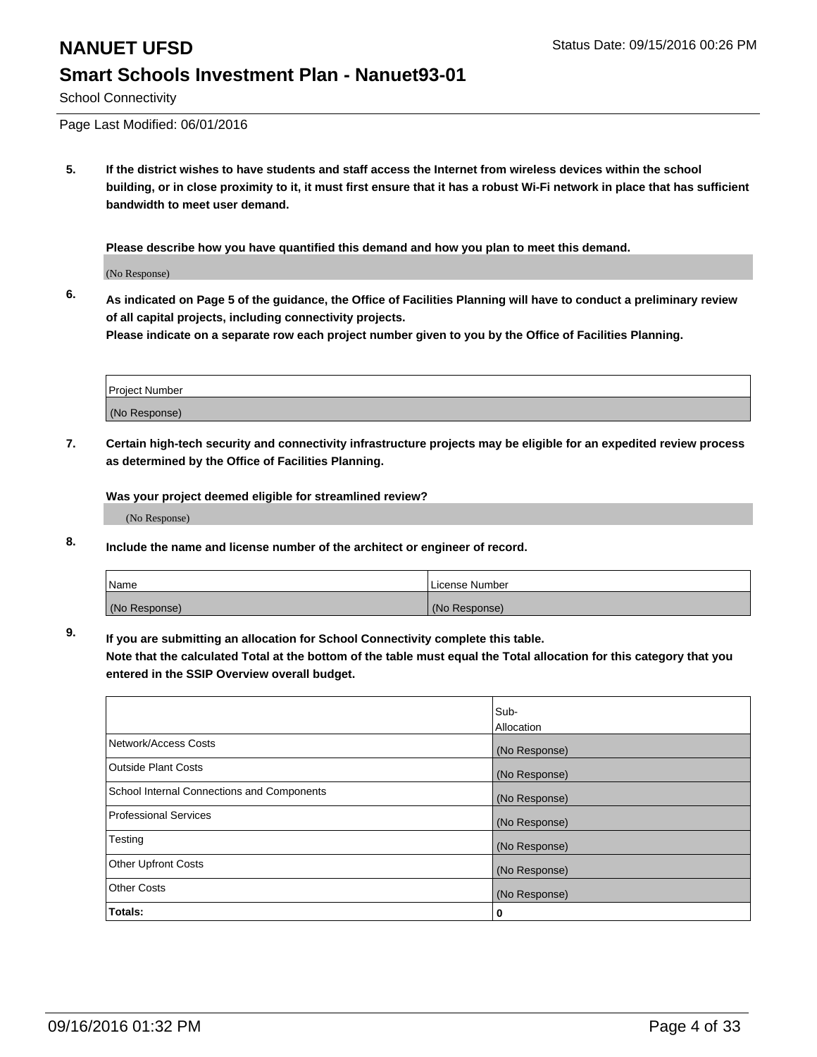## **NANUET UFSD** Status Date: 09/15/2016 00:26 PM **Smart Schools Investment Plan - Nanuet93-01**

School Connectivity

Page Last Modified: 06/01/2016

**5. If the district wishes to have students and staff access the Internet from wireless devices within the school building, or in close proximity to it, it must first ensure that it has a robust Wi-Fi network in place that has sufficient bandwidth to meet user demand.**

**Please describe how you have quantified this demand and how you plan to meet this demand.**

(No Response)

**6. As indicated on Page 5 of the guidance, the Office of Facilities Planning will have to conduct a preliminary review of all capital projects, including connectivity projects.**

**Please indicate on a separate row each project number given to you by the Office of Facilities Planning.**

| Project Number |  |
|----------------|--|
| (No Response)  |  |

**7. Certain high-tech security and connectivity infrastructure projects may be eligible for an expedited review process as determined by the Office of Facilities Planning.**

**Was your project deemed eligible for streamlined review?**

(No Response)

**8. Include the name and license number of the architect or engineer of record.**

| <b>Name</b>   | License Number |
|---------------|----------------|
| (No Response) | (No Response)  |

**9. If you are submitting an allocation for School Connectivity complete this table.**

**Note that the calculated Total at the bottom of the table must equal the Total allocation for this category that you entered in the SSIP Overview overall budget.** 

|                                            | Sub-              |
|--------------------------------------------|-------------------|
|                                            | <b>Allocation</b> |
| Network/Access Costs                       | (No Response)     |
| <b>Outside Plant Costs</b>                 | (No Response)     |
| School Internal Connections and Components | (No Response)     |
| <b>Professional Services</b>               | (No Response)     |
| Testing                                    | (No Response)     |
| <b>Other Upfront Costs</b>                 | (No Response)     |
| <b>Other Costs</b>                         | (No Response)     |
| Totals:                                    | 0                 |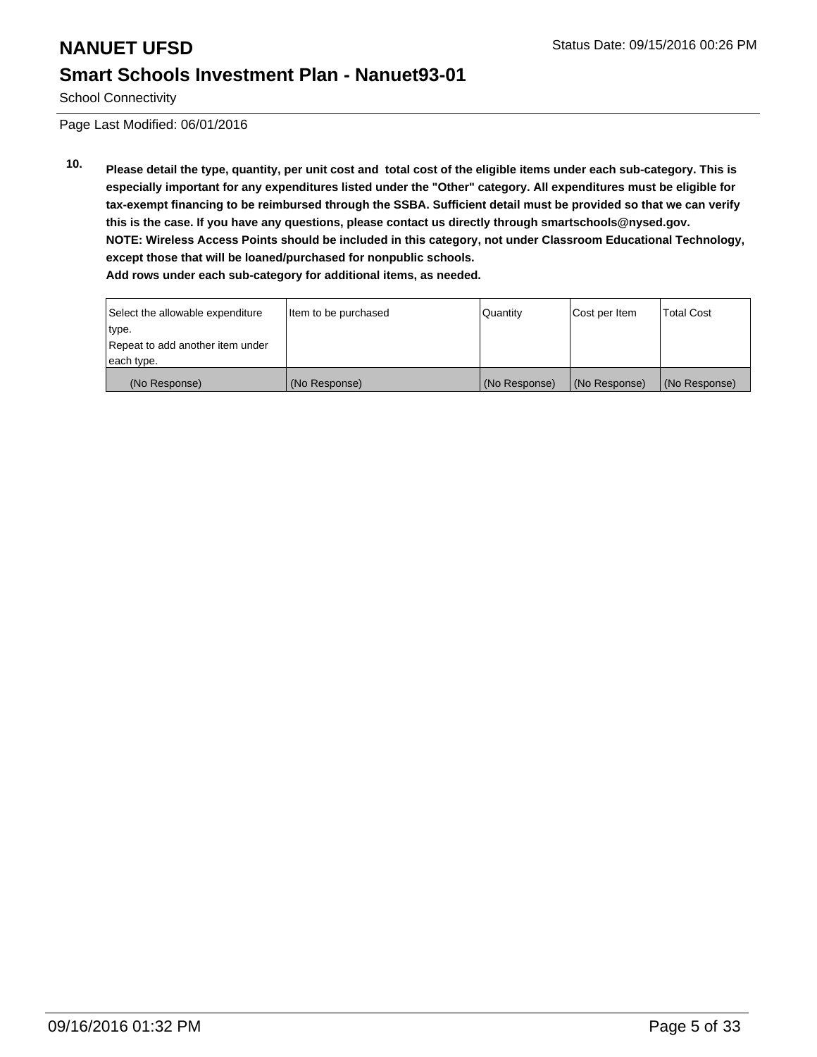School Connectivity

Page Last Modified: 06/01/2016

**10. Please detail the type, quantity, per unit cost and total cost of the eligible items under each sub-category. This is especially important for any expenditures listed under the "Other" category. All expenditures must be eligible for tax-exempt financing to be reimbursed through the SSBA. Sufficient detail must be provided so that we can verify this is the case. If you have any questions, please contact us directly through smartschools@nysed.gov. NOTE: Wireless Access Points should be included in this category, not under Classroom Educational Technology, except those that will be loaned/purchased for nonpublic schools. Add rows under each sub-category for additional items, as needed.**

| Select the allowable expenditure | Item to be purchased | Quantity      | Cost per Item | <b>Total Cost</b> |
|----------------------------------|----------------------|---------------|---------------|-------------------|
| type.                            |                      |               |               |                   |
| Repeat to add another item under |                      |               |               |                   |
| each type.                       |                      |               |               |                   |
| (No Response)                    | (No Response)        | (No Response) | (No Response) | (No Response)     |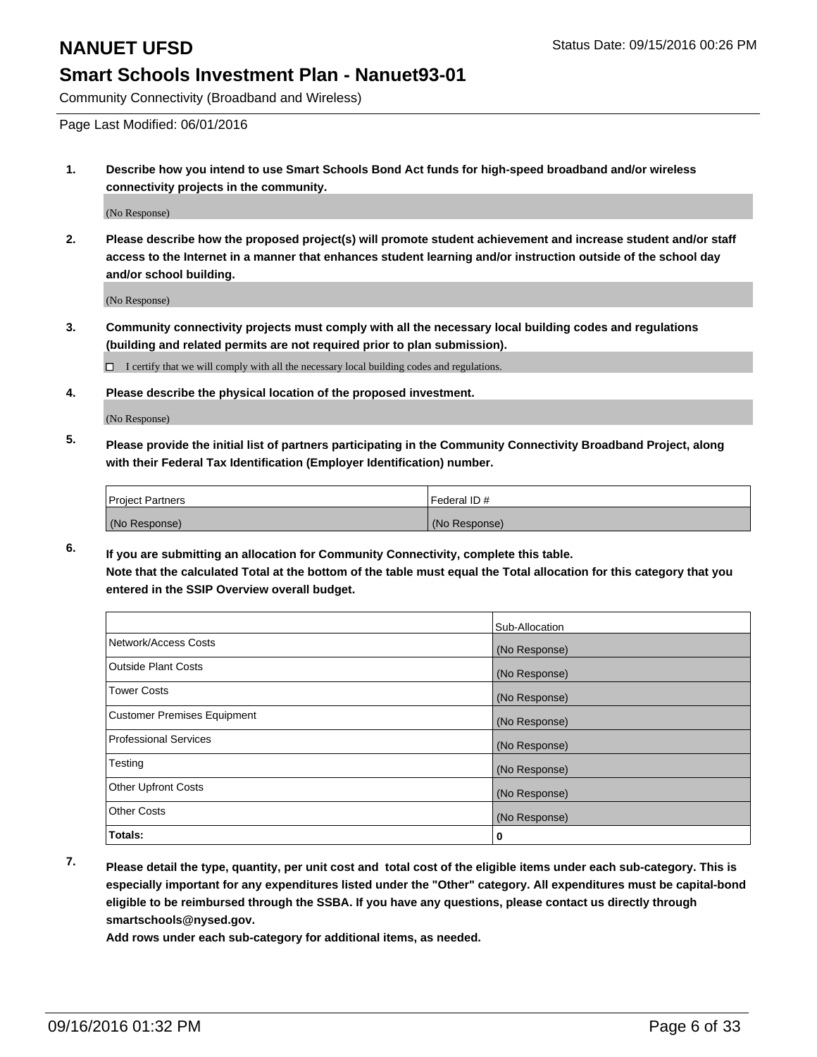Community Connectivity (Broadband and Wireless)

Page Last Modified: 06/01/2016

**1. Describe how you intend to use Smart Schools Bond Act funds for high-speed broadband and/or wireless connectivity projects in the community.**

(No Response)

**2. Please describe how the proposed project(s) will promote student achievement and increase student and/or staff access to the Internet in a manner that enhances student learning and/or instruction outside of the school day and/or school building.**

(No Response)

**3. Community connectivity projects must comply with all the necessary local building codes and regulations (building and related permits are not required prior to plan submission).**

 $\Box$  I certify that we will comply with all the necessary local building codes and regulations.

**4. Please describe the physical location of the proposed investment.**

(No Response)

**5. Please provide the initial list of partners participating in the Community Connectivity Broadband Project, along with their Federal Tax Identification (Employer Identification) number.**

| <b>Project Partners</b> | Federal ID#   |
|-------------------------|---------------|
| (No Response)           | (No Response) |

**6. If you are submitting an allocation for Community Connectivity, complete this table. Note that the calculated Total at the bottom of the table must equal the Total allocation for this category that you entered in the SSIP Overview overall budget.**

|                                    | Sub-Allocation |
|------------------------------------|----------------|
| Network/Access Costs               | (No Response)  |
| <b>Outside Plant Costs</b>         | (No Response)  |
| Tower Costs                        | (No Response)  |
| <b>Customer Premises Equipment</b> | (No Response)  |
| <b>Professional Services</b>       | (No Response)  |
| Testing                            | (No Response)  |
| <b>Other Upfront Costs</b>         | (No Response)  |
| <b>Other Costs</b>                 | (No Response)  |
| Totals:                            | 0              |

**7. Please detail the type, quantity, per unit cost and total cost of the eligible items under each sub-category. This is especially important for any expenditures listed under the "Other" category. All expenditures must be capital-bond eligible to be reimbursed through the SSBA. If you have any questions, please contact us directly through smartschools@nysed.gov.**

**Add rows under each sub-category for additional items, as needed.**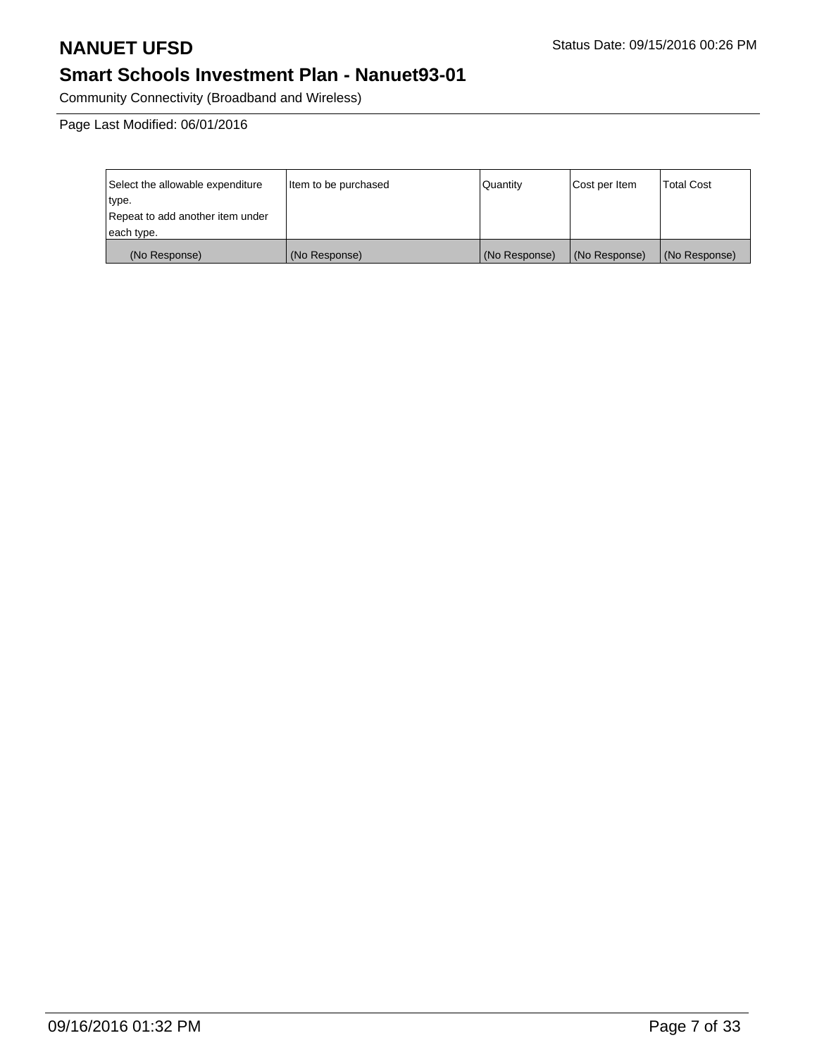Community Connectivity (Broadband and Wireless)

| Select the allowable expenditure | Item to be purchased | l Quantitv    | Cost per Item | <b>Total Cost</b> |
|----------------------------------|----------------------|---------------|---------------|-------------------|
| type.                            |                      |               |               |                   |
| Repeat to add another item under |                      |               |               |                   |
| each type.                       |                      |               |               |                   |
| (No Response)                    | (No Response)        | (No Response) | (No Response) | (No Response)     |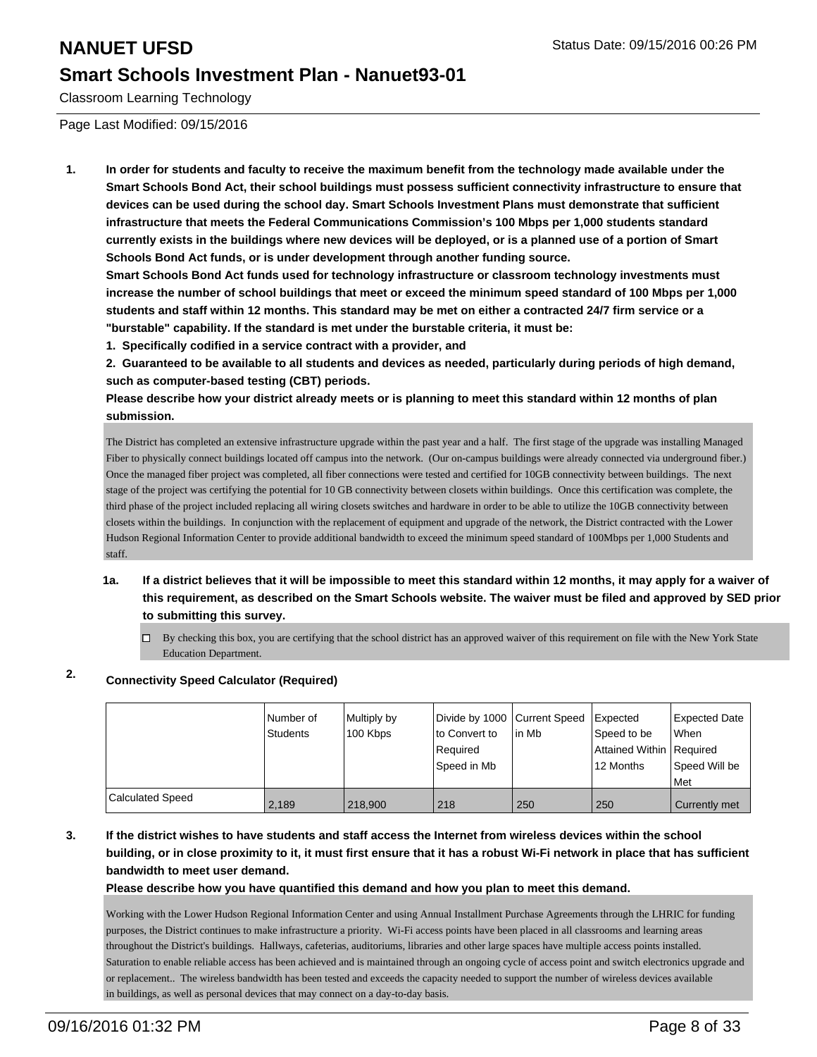Classroom Learning Technology

Page Last Modified: 09/15/2016

**1. In order for students and faculty to receive the maximum benefit from the technology made available under the Smart Schools Bond Act, their school buildings must possess sufficient connectivity infrastructure to ensure that devices can be used during the school day. Smart Schools Investment Plans must demonstrate that sufficient infrastructure that meets the Federal Communications Commission's 100 Mbps per 1,000 students standard currently exists in the buildings where new devices will be deployed, or is a planned use of a portion of Smart Schools Bond Act funds, or is under development through another funding source.**

**Smart Schools Bond Act funds used for technology infrastructure or classroom technology investments must increase the number of school buildings that meet or exceed the minimum speed standard of 100 Mbps per 1,000 students and staff within 12 months. This standard may be met on either a contracted 24/7 firm service or a "burstable" capability. If the standard is met under the burstable criteria, it must be:**

**1. Specifically codified in a service contract with a provider, and**

**2. Guaranteed to be available to all students and devices as needed, particularly during periods of high demand, such as computer-based testing (CBT) periods.**

**Please describe how your district already meets or is planning to meet this standard within 12 months of plan submission.**

The District has completed an extensive infrastructure upgrade within the past year and a half. The first stage of the upgrade was installing Managed Fiber to physically connect buildings located off campus into the network. (Our on-campus buildings were already connected via underground fiber.) Once the managed fiber project was completed, all fiber connections were tested and certified for 10GB connectivity between buildings. The next stage of the project was certifying the potential for 10 GB connectivity between closets within buildings. Once this certification was complete, the third phase of the project included replacing all wiring closets switches and hardware in order to be able to utilize the 10GB connectivity between closets within the buildings. In conjunction with the replacement of equipment and upgrade of the network, the District contracted with the Lower Hudson Regional Information Center to provide additional bandwidth to exceed the minimum speed standard of 100Mbps per 1,000 Students and staff.

- **1a. If a district believes that it will be impossible to meet this standard within 12 months, it may apply for a waiver of this requirement, as described on the Smart Schools website. The waiver must be filed and approved by SED prior to submitting this survey.**
	- $\Box$  By checking this box, you are certifying that the school district has an approved waiver of this requirement on file with the New York State Education Department.

### **2. Connectivity Speed Calculator (Required)**

|                         | I Number of<br>Students | Multiply by<br>100 Kbps | Divide by 1000 Current Speed<br>Ito Convert to<br>Required<br>Speed in Mb | l in Mb | <b>Expected</b><br>Speed to be<br>Attained Within   Required<br>12 Months | Expected Date<br><b>When</b><br>Speed Will be<br>l Met |
|-------------------------|-------------------------|-------------------------|---------------------------------------------------------------------------|---------|---------------------------------------------------------------------------|--------------------------------------------------------|
| <b>Calculated Speed</b> | 2,189                   | 218,900                 | 218                                                                       | 250     | 250                                                                       | Currently met                                          |

### **3. If the district wishes to have students and staff access the Internet from wireless devices within the school building, or in close proximity to it, it must first ensure that it has a robust Wi-Fi network in place that has sufficient bandwidth to meet user demand.**

**Please describe how you have quantified this demand and how you plan to meet this demand.**

Working with the Lower Hudson Regional Information Center and using Annual Installment Purchase Agreements through the LHRIC for funding purposes, the District continues to make infrastructure a priority. Wi-Fi access points have been placed in all classrooms and learning areas throughout the District's buildings. Hallways, cafeterias, auditoriums, libraries and other large spaces have multiple access points installed. Saturation to enable reliable access has been achieved and is maintained through an ongoing cycle of access point and switch electronics upgrade and or replacement.. The wireless bandwidth has been tested and exceeds the capacity needed to support the number of wireless devices available in buildings, as well as personal devices that may connect on a day-to-day basis.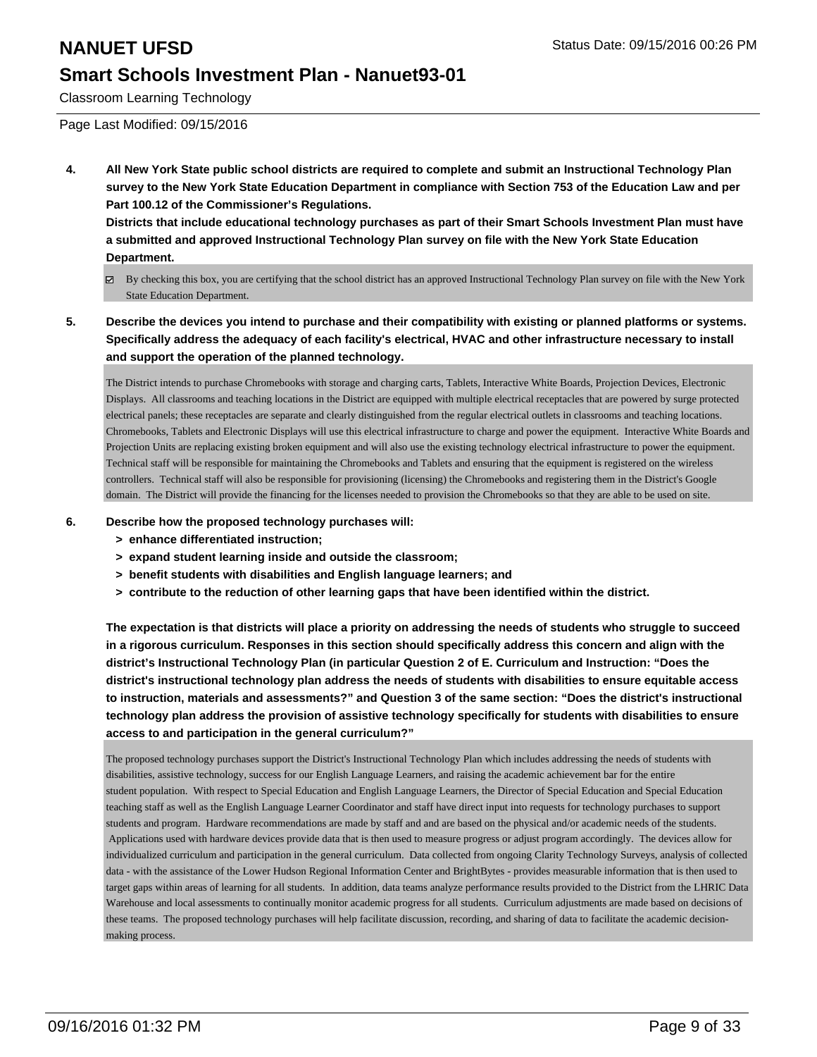Classroom Learning Technology

Page Last Modified: 09/15/2016

**4. All New York State public school districts are required to complete and submit an Instructional Technology Plan survey to the New York State Education Department in compliance with Section 753 of the Education Law and per Part 100.12 of the Commissioner's Regulations.**

**Districts that include educational technology purchases as part of their Smart Schools Investment Plan must have a submitted and approved Instructional Technology Plan survey on file with the New York State Education Department.**

- By checking this box, you are certifying that the school district has an approved Instructional Technology Plan survey on file with the New York State Education Department.
- **5. Describe the devices you intend to purchase and their compatibility with existing or planned platforms or systems. Specifically address the adequacy of each facility's electrical, HVAC and other infrastructure necessary to install and support the operation of the planned technology.**

The District intends to purchase Chromebooks with storage and charging carts, Tablets, Interactive White Boards, Projection Devices, Electronic Displays. All classrooms and teaching locations in the District are equipped with multiple electrical receptacles that are powered by surge protected electrical panels; these receptacles are separate and clearly distinguished from the regular electrical outlets in classrooms and teaching locations. Chromebooks, Tablets and Electronic Displays will use this electrical infrastructure to charge and power the equipment. Interactive White Boards and Projection Units are replacing existing broken equipment and will also use the existing technology electrical infrastructure to power the equipment. Technical staff will be responsible for maintaining the Chromebooks and Tablets and ensuring that the equipment is registered on the wireless controllers. Technical staff will also be responsible for provisioning (licensing) the Chromebooks and registering them in the District's Google domain. The District will provide the financing for the licenses needed to provision the Chromebooks so that they are able to be used on site.

### **6. Describe how the proposed technology purchases will:**

- **> enhance differentiated instruction;**
- **> expand student learning inside and outside the classroom;**
- **> benefit students with disabilities and English language learners; and**
- **> contribute to the reduction of other learning gaps that have been identified within the district.**

**The expectation is that districts will place a priority on addressing the needs of students who struggle to succeed in a rigorous curriculum. Responses in this section should specifically address this concern and align with the district's Instructional Technology Plan (in particular Question 2 of E. Curriculum and Instruction: "Does the district's instructional technology plan address the needs of students with disabilities to ensure equitable access to instruction, materials and assessments?" and Question 3 of the same section: "Does the district's instructional technology plan address the provision of assistive technology specifically for students with disabilities to ensure access to and participation in the general curriculum?"**

The proposed technology purchases support the District's Instructional Technology Plan which includes addressing the needs of students with disabilities, assistive technology, success for our English Language Learners, and raising the academic achievement bar for the entire student population. With respect to Special Education and English Language Learners, the Director of Special Education and Special Education teaching staff as well as the English Language Learner Coordinator and staff have direct input into requests for technology purchases to support students and program. Hardware recommendations are made by staff and and are based on the physical and/or academic needs of the students. Applications used with hardware devices provide data that is then used to measure progress or adjust program accordingly. The devices allow for individualized curriculum and participation in the general curriculum. Data collected from ongoing Clarity Technology Surveys, analysis of collected data - with the assistance of the Lower Hudson Regional Information Center and BrightBytes - provides measurable information that is then used to target gaps within areas of learning for all students. In addition, data teams analyze performance results provided to the District from the LHRIC Data Warehouse and local assessments to continually monitor academic progress for all students. Curriculum adjustments are made based on decisions of these teams. The proposed technology purchases will help facilitate discussion, recording, and sharing of data to facilitate the academic decisionmaking process.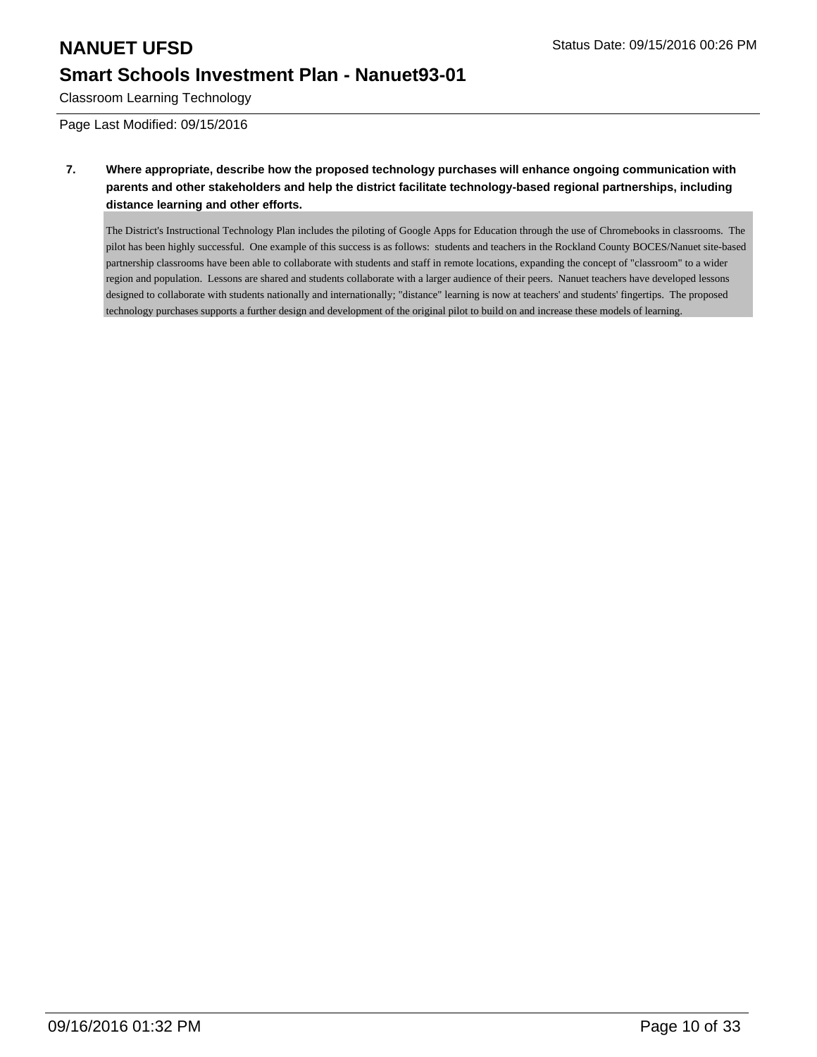Classroom Learning Technology

Page Last Modified: 09/15/2016

**7. Where appropriate, describe how the proposed technology purchases will enhance ongoing communication with parents and other stakeholders and help the district facilitate technology-based regional partnerships, including distance learning and other efforts.**

The District's Instructional Technology Plan includes the piloting of Google Apps for Education through the use of Chromebooks in classrooms. The pilot has been highly successful. One example of this success is as follows: students and teachers in the Rockland County BOCES/Nanuet site-based partnership classrooms have been able to collaborate with students and staff in remote locations, expanding the concept of "classroom" to a wider region and population. Lessons are shared and students collaborate with a larger audience of their peers. Nanuet teachers have developed lessons designed to collaborate with students nationally and internationally; "distance" learning is now at teachers' and students' fingertips. The proposed technology purchases supports a further design and development of the original pilot to build on and increase these models of learning.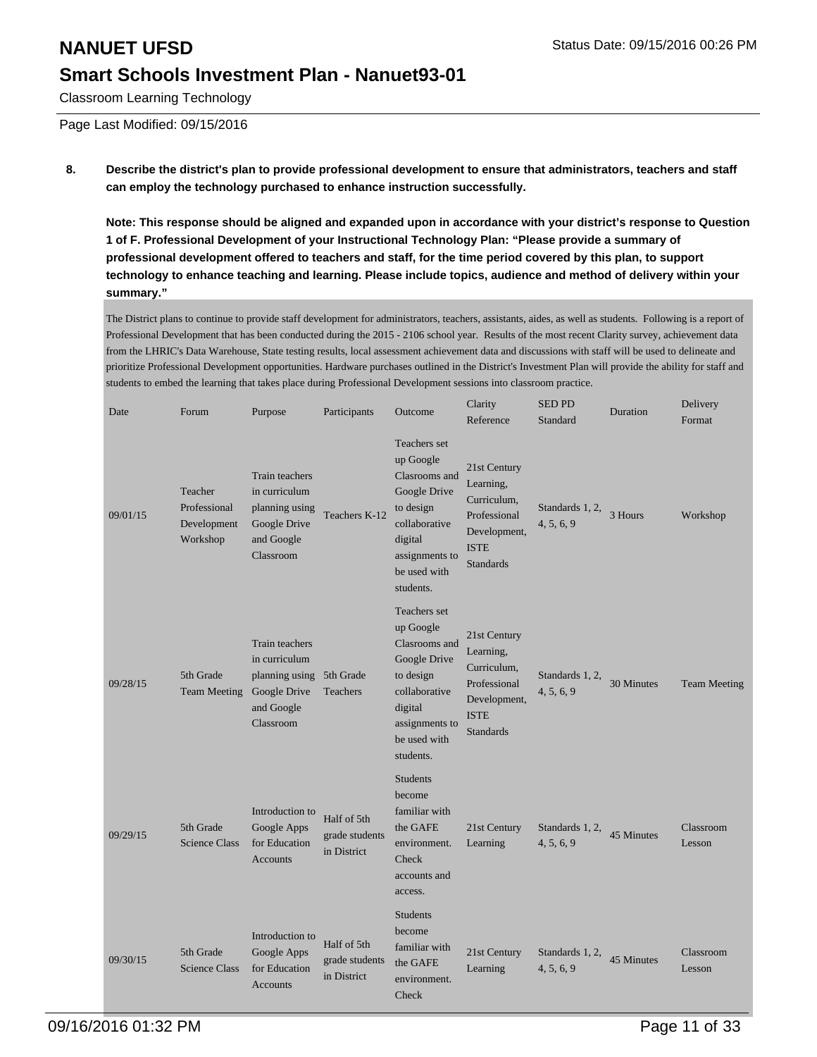Classroom Learning Technology

Page Last Modified: 09/15/2016

### **8. Describe the district's plan to provide professional development to ensure that administrators, teachers and staff can employ the technology purchased to enhance instruction successfully.**

**Note: This response should be aligned and expanded upon in accordance with your district's response to Question 1 of F. Professional Development of your Instructional Technology Plan: "Please provide a summary of professional development offered to teachers and staff, for the time period covered by this plan, to support technology to enhance teaching and learning. Please include topics, audience and method of delivery within your summary."**

The District plans to continue to provide staff development for administrators, teachers, assistants, aides, as well as students. Following is a report of Professional Development that has been conducted during the 2015 - 2106 school year. Results of the most recent Clarity survey, achievement data from the LHRIC's Data Warehouse, State testing results, local assessment achievement data and discussions with staff will be used to delineate and prioritize Professional Development opportunities. Hardware purchases outlined in the District's Investment Plan will provide the ability for staff and students to embed the learning that takes place during Professional Development sessions into classroom practice.

| Date     | Forum                                              | Purpose                                                                                                | Participants                                 | Outcome                                                                                                                                            | Clarity<br>Reference                                                                                        | <b>SED PD</b><br>Standard     | Duration   | Delivery<br>Format  |
|----------|----------------------------------------------------|--------------------------------------------------------------------------------------------------------|----------------------------------------------|----------------------------------------------------------------------------------------------------------------------------------------------------|-------------------------------------------------------------------------------------------------------------|-------------------------------|------------|---------------------|
| 09/01/15 | Teacher<br>Professional<br>Development<br>Workshop | Train teachers<br>in curriculum<br>planning using<br>Google Drive<br>and Google<br>Classroom           | Teachers K-12                                | Teachers set<br>up Google<br>Clasrooms and<br>Google Drive<br>to design<br>collaborative<br>digital<br>assignments to<br>be used with<br>students. | 21st Century<br>Learning,<br>Curriculum,<br>Professional<br>Development,<br><b>ISTE</b><br><b>Standards</b> | Standards 1, 2,<br>4, 5, 6, 9 | 3 Hours    | Workshop            |
| 09/28/15 | 5th Grade<br><b>Team Meeting</b>                   | Train teachers<br>in curriculum<br>planning using 5th Grade<br>Google Drive<br>and Google<br>Classroom | Teachers                                     | Teachers set<br>up Google<br>Clasrooms and<br>Google Drive<br>to design<br>collaborative<br>digital<br>assignments to<br>be used with<br>students. | 21st Century<br>Learning,<br>Curriculum,<br>Professional<br>Development,<br><b>ISTE</b><br><b>Standards</b> | Standards 1, 2,<br>4, 5, 6, 9 | 30 Minutes | <b>Team Meeting</b> |
| 09/29/15 | 5th Grade<br><b>Science Class</b>                  | Introduction to<br>Google Apps<br>for Education<br><b>Accounts</b>                                     | Half of 5th<br>grade students<br>in District | <b>Students</b><br>become<br>familiar with<br>the GAFE<br>environment.<br>Check<br>accounts and<br>access.                                         | 21st Century<br>Learning                                                                                    | Standards 1, 2,<br>4, 5, 6, 9 | 45 Minutes | Classroom<br>Lesson |
| 09/30/15 | 5th Grade<br><b>Science Class</b>                  | Introduction to<br>Google Apps<br>for Education<br>Accounts                                            | Half of 5th<br>grade students<br>in District | <b>Students</b><br>become<br>familiar with<br>the GAFE<br>environment.<br>Check                                                                    | 21st Century<br>Learning                                                                                    | Standards 1, 2,<br>4, 5, 6, 9 | 45 Minutes | Classroom<br>Lesson |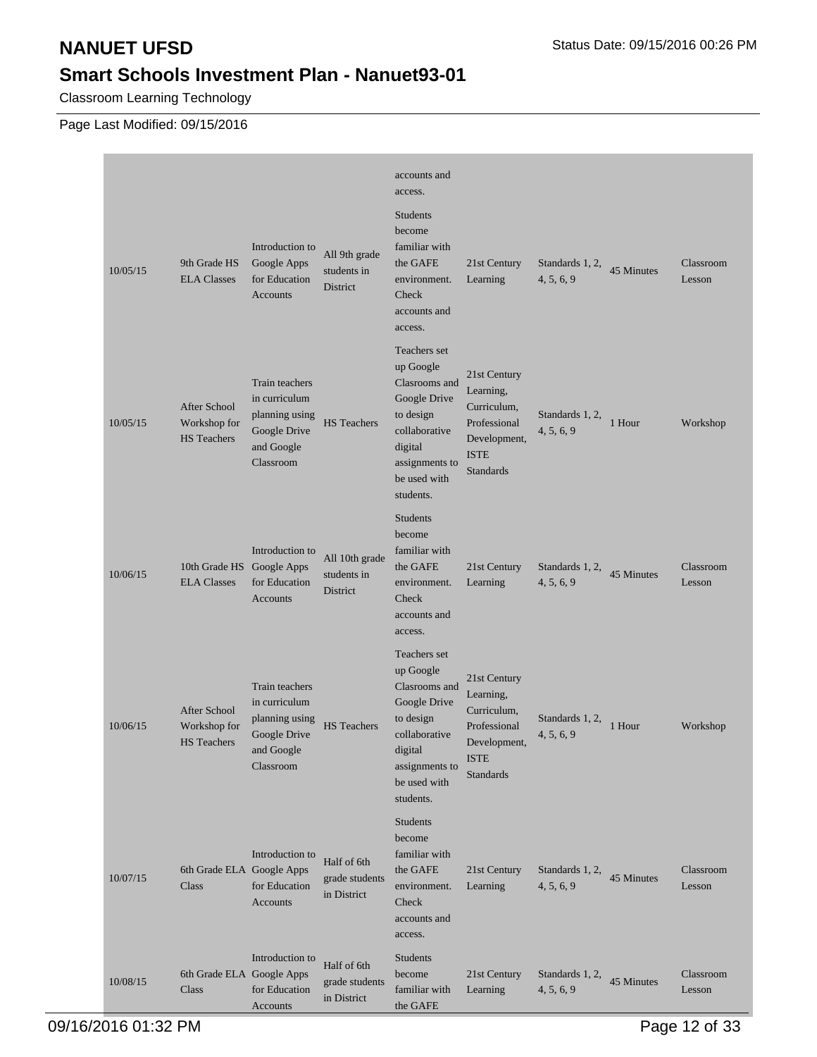Classroom Learning Technology

|          |                                                    |                                                                                              |                                              | accounts and<br>access.                                                                                                                            |                                                                                                             |                               |            |                     |
|----------|----------------------------------------------------|----------------------------------------------------------------------------------------------|----------------------------------------------|----------------------------------------------------------------------------------------------------------------------------------------------------|-------------------------------------------------------------------------------------------------------------|-------------------------------|------------|---------------------|
| 10/05/15 | 9th Grade HS<br><b>ELA Classes</b>                 | Introduction to<br>Google Apps<br>for Education<br>Accounts                                  | All 9th grade<br>students in<br>District     | <b>Students</b><br>become<br>familiar with<br>the GAFE<br>environment.<br>Check<br>accounts and<br>access.                                         | 21st Century<br>Learning                                                                                    | Standards 1, 2,<br>4, 5, 6, 9 | 45 Minutes | Classroom<br>Lesson |
| 10/05/15 | After School<br>Workshop for<br><b>HS</b> Teachers | Train teachers<br>in curriculum<br>planning using<br>Google Drive<br>and Google<br>Classroom | <b>HS</b> Teachers                           | Teachers set<br>up Google<br>Clasrooms and<br>Google Drive<br>to design<br>collaborative<br>digital<br>assignments to<br>be used with<br>students. | 21st Century<br>Learning,<br>Curriculum,<br>Professional<br>Development,<br><b>ISTE</b><br><b>Standards</b> | Standards 1, 2,<br>4, 5, 6, 9 | 1 Hour     | Workshop            |
| 10/06/15 | 10th Grade HS Google Apps<br><b>ELA Classes</b>    | Introduction to<br>for Education<br>Accounts                                                 | All 10th grade<br>students in<br>District    | <b>Students</b><br>become<br>familiar with<br>the GAFE<br>environment.<br>Check<br>accounts and<br>access.                                         | 21st Century<br>Learning                                                                                    | Standards 1, 2,<br>4, 5, 6, 9 | 45 Minutes | Classroom<br>Lesson |
| 10/06/15 | After School<br>Workshop for<br><b>HS</b> Teachers | Train teachers<br>in curriculum<br>planning using<br>Google Drive<br>and Google<br>Classroom | <b>HS</b> Teachers                           | Teachers set<br>up Google<br>Clasrooms and<br>Google Drive<br>to design<br>collaborative<br>digital<br>assignments to<br>be used with<br>students. | 21st Century<br>Learning,<br>Curriculum,<br>Professional<br>Development,<br><b>ISTE</b><br><b>Standards</b> | Standards 1, 2,<br>4, 5, 6, 9 | 1 Hour     | Workshop            |
| 10/07/15 | 6th Grade ELA Google Apps<br>Class                 | Introduction to<br>for Education<br>Accounts                                                 | Half of 6th<br>grade students<br>in District | Students<br>become<br>familiar with<br>the GAFE<br>environment.<br>Check<br>accounts and<br>access.                                                | 21st Century<br>Learning                                                                                    | Standards 1, 2,<br>4, 5, 6, 9 | 45 Minutes | Classroom<br>Lesson |
| 10/08/15 | 6th Grade ELA Google Apps<br>Class                 | Introduction to<br>for Education<br>Accounts                                                 | Half of 6th<br>grade students<br>in District | Students<br>become<br>familiar with<br>the GAFE                                                                                                    | 21st Century<br>Learning                                                                                    | Standards 1, 2,<br>4, 5, 6, 9 | 45 Minutes | Classroom<br>Lesson |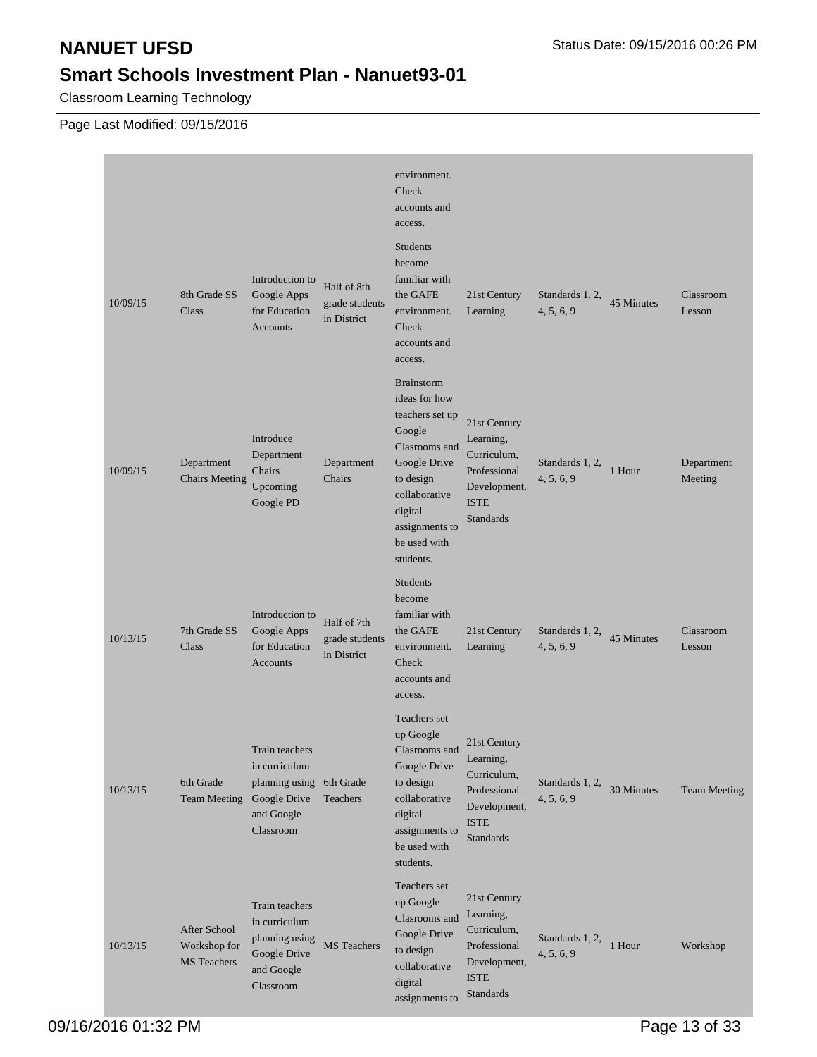Classroom Learning Technology

|          |                                                    |                                                                                              |                                              | environment.<br>Check<br>accounts and<br>access.                                                                                                                                         |                                                                                                             |                               |            |                       |
|----------|----------------------------------------------------|----------------------------------------------------------------------------------------------|----------------------------------------------|------------------------------------------------------------------------------------------------------------------------------------------------------------------------------------------|-------------------------------------------------------------------------------------------------------------|-------------------------------|------------|-----------------------|
| 10/09/15 | 8th Grade SS<br>Class                              | Introduction to<br>Google Apps<br>for Education<br><b>Accounts</b>                           | Half of 8th<br>grade students<br>in District | <b>Students</b><br>become<br>familiar with<br>the GAFE<br>environment.<br>Check<br>accounts and<br>access.                                                                               | 21st Century<br>Learning                                                                                    | Standards 1, 2,<br>4, 5, 6, 9 | 45 Minutes | Classroom<br>Lesson   |
| 10/09/15 | Department<br><b>Chairs Meeting</b>                | Introduce<br>Department<br>Chairs<br>Upcoming<br>Google PD                                   | Department<br>Chairs                         | <b>Brainstorm</b><br>ideas for how<br>teachers set up<br>Google<br>Clasrooms and<br>Google Drive<br>to design<br>collaborative<br>digital<br>assignments to<br>be used with<br>students. | 21st Century<br>Learning,<br>Curriculum,<br>Professional<br>Development,<br><b>ISTE</b><br><b>Standards</b> | Standards 1, 2,<br>4, 5, 6, 9 | 1 Hour     | Department<br>Meeting |
| 10/13/15 | 7th Grade SS<br>Class                              | Introduction to<br>Google Apps<br>for Education<br>Accounts                                  | Half of 7th<br>grade students<br>in District | <b>Students</b><br>become<br>familiar with<br>the GAFE<br>environment.<br>Check<br>accounts and<br>access.                                                                               | 21st Century<br>Learning                                                                                    | Standards 1, 2,<br>4, 5, 6, 9 | 45 Minutes | Classroom<br>Lesson   |
| 10/13/15 | 6th Grade<br><b>Team Meeting</b>                   | Train teachers<br>in curriculum<br>planning using<br>Google Drive<br>and Google<br>Classroom | 6th Grade<br>Teachers                        | Teachers set<br>up Google<br>Clasrooms and<br>Google Drive<br>to design<br>collaborative<br>digital<br>assignments to<br>be used with<br>students.                                       | 21st Century<br>Learning,<br>Curriculum,<br>Professional<br>Development,<br><b>ISTE</b><br><b>Standards</b> | Standards 1, 2,<br>4, 5, 6, 9 | 30 Minutes | <b>Team Meeting</b>   |
| 10/13/15 | After School<br>Workshop for<br><b>MS</b> Teachers | Train teachers<br>in curriculum<br>planning using<br>Google Drive<br>and Google<br>Classroom | MS Teachers                                  | Teachers set<br>up Google<br>Clasrooms and<br>Google Drive<br>to design<br>collaborative<br>digital<br>assignments to                                                                    | 21st Century<br>Learning,<br>Curriculum,<br>Professional<br>Development,<br><b>ISTE</b><br>Standards        | Standards 1, 2,<br>4, 5, 6, 9 | 1 Hour     | Workshop              |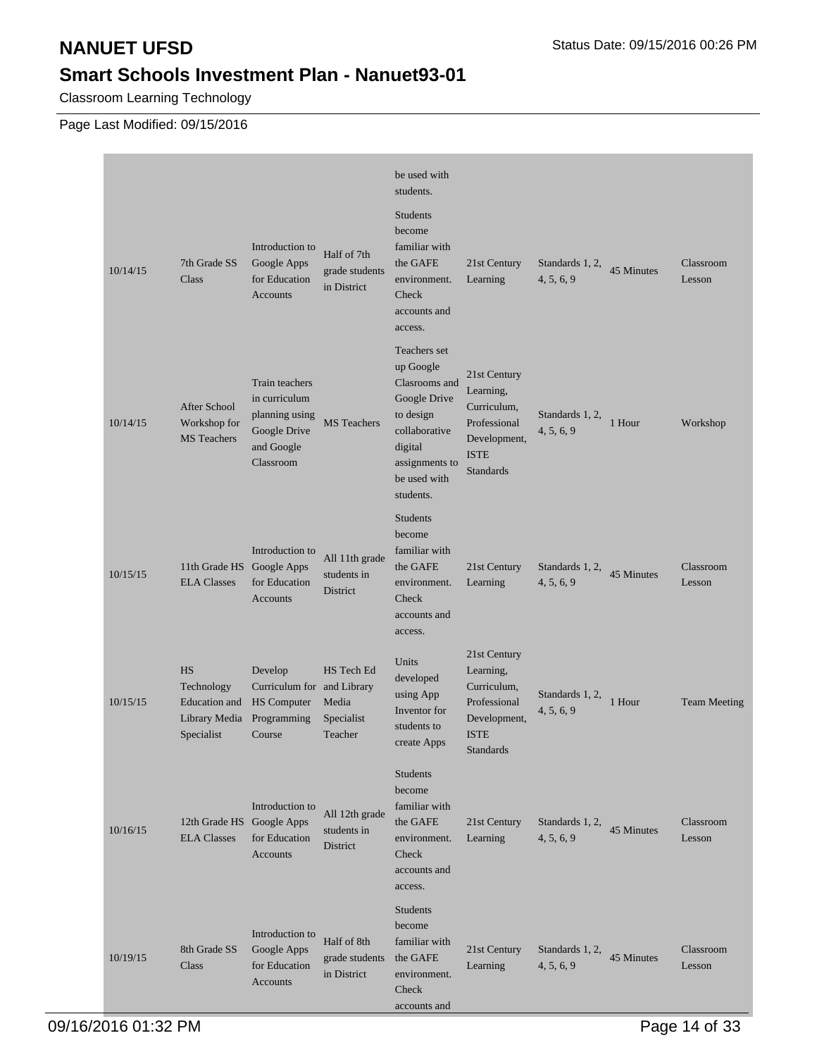Classroom Learning Technology

|          |                                                                                |                                                                                              |                                                  | be used with<br>students.                                                                                                                          |                                                                                                             |                               |            |                     |
|----------|--------------------------------------------------------------------------------|----------------------------------------------------------------------------------------------|--------------------------------------------------|----------------------------------------------------------------------------------------------------------------------------------------------------|-------------------------------------------------------------------------------------------------------------|-------------------------------|------------|---------------------|
| 10/14/15 | 7th Grade SS<br>Class                                                          | Introduction to<br>Google Apps<br>for Education<br><b>Accounts</b>                           | Half of 7th<br>grade students<br>in District     | <b>Students</b><br>become<br>familiar with<br>the GAFE<br>environment.<br>Check<br>accounts and<br>access.                                         | 21st Century<br>Learning                                                                                    | Standards 1, 2,<br>4, 5, 6, 9 | 45 Minutes | Classroom<br>Lesson |
| 10/14/15 | <b>After School</b><br>Workshop for<br><b>MS</b> Teachers                      | Train teachers<br>in curriculum<br>planning using<br>Google Drive<br>and Google<br>Classroom | <b>MS</b> Teachers                               | Teachers set<br>up Google<br>Clasrooms and<br>Google Drive<br>to design<br>collaborative<br>digital<br>assignments to<br>be used with<br>students. | 21st Century<br>Learning,<br>Curriculum,<br>Professional<br>Development,<br><b>ISTE</b><br><b>Standards</b> | Standards 1, 2,<br>4, 5, 6, 9 | 1 Hour     | Workshop            |
| 10/15/15 | 11th Grade HS Google Apps<br><b>ELA Classes</b>                                | Introduction to<br>for Education<br><b>Accounts</b>                                          | All 11th grade<br>students in<br>District        | <b>Students</b><br>become<br>familiar with<br>the GAFE<br>environment.<br>Check<br>accounts and<br>access.                                         | 21st Century<br>Learning                                                                                    | Standards 1, 2,<br>4, 5, 6, 9 | 45 Minutes | Classroom<br>Lesson |
| 10/15/15 | <b>HS</b><br>Technology<br><b>Education</b> and<br>Library Media<br>Specialist | Develop<br>Curriculum for and Library<br><b>HS</b> Computer<br>Programming<br>Course         | HS Tech Ed<br>Media<br>Specialist<br>Teacher     | Units<br>developed<br>using App<br>Inventor for<br>students to<br>create Apps                                                                      | 21st Century<br>Learning,<br>Curriculum,<br>Professional<br>Development,<br><b>ISTE</b><br><b>Standards</b> | Standards 1, 2,<br>4, 5, 6, 9 | 1 Hour     | <b>Team Meeting</b> |
| 10/16/15 | 12th Grade HS Google Apps<br><b>ELA Classes</b>                                | Introduction to<br>for Education<br>Accounts                                                 | All 12th grade<br>students in<br><b>District</b> | Students<br>become<br>familiar with<br>the GAFE<br>environment.<br>Check<br>accounts and<br>access.                                                | 21st Century<br>Learning                                                                                    | Standards 1, 2,<br>4, 5, 6, 9 | 45 Minutes | Classroom<br>Lesson |
| 10/19/15 | 8th Grade SS<br>Class                                                          | Introduction to<br>Google Apps<br>for Education<br>Accounts                                  | Half of 8th<br>grade students<br>in District     | Students<br>become<br>familiar with<br>the GAFE<br>environment.<br>Check<br>accounts and                                                           | 21st Century<br>Learning                                                                                    | Standards 1, 2,<br>4, 5, 6, 9 | 45 Minutes | Classroom<br>Lesson |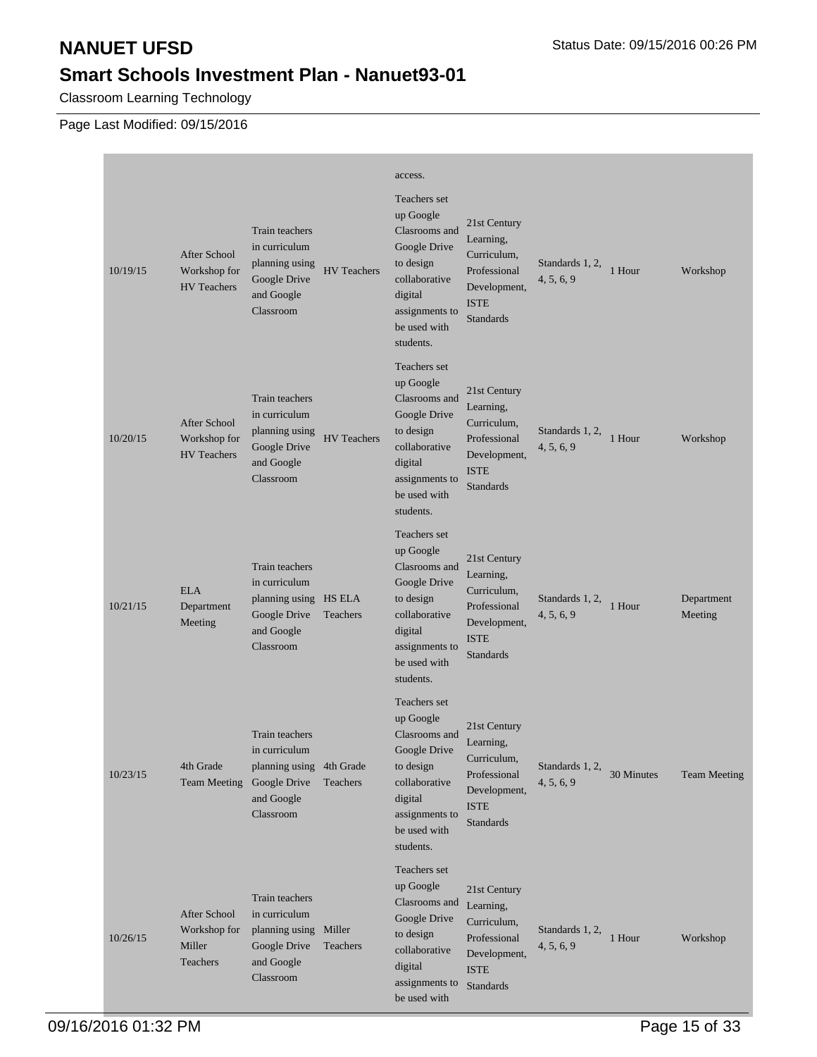Classroom Learning Technology

| 10/19/15 | <b>After School</b><br>Workshop for<br><b>HV</b> Teachers | Train teachers<br>in curriculum<br>planning using<br>Google Drive<br>and Google<br>Classroom           | <b>HV</b> Teachers | access.<br>Teachers set<br>up Google<br>Clasrooms and<br>Google Drive<br>to design<br>collaborative<br>digital<br>assignments to<br>be used with<br>students. | 21st Century<br>Learning,<br>Curriculum,<br>Professional<br>Development,<br><b>ISTE</b><br>Standards        | Standards 1, 2,<br>4, 5, 6, 9 | 1 Hour     | Workshop              |
|----------|-----------------------------------------------------------|--------------------------------------------------------------------------------------------------------|--------------------|---------------------------------------------------------------------------------------------------------------------------------------------------------------|-------------------------------------------------------------------------------------------------------------|-------------------------------|------------|-----------------------|
| 10/20/15 | <b>After School</b><br>Workshop for<br><b>HV</b> Teachers | Train teachers<br>in curriculum<br>planning using<br>Google Drive<br>and Google<br>Classroom           | <b>HV</b> Teachers | Teachers set<br>up Google<br>Clasrooms and<br>Google Drive<br>to design<br>collaborative<br>digital<br>assignments to<br>be used with<br>students.            | 21st Century<br>Learning,<br>Curriculum,<br>Professional<br>Development,<br><b>ISTE</b><br><b>Standards</b> | Standards 1, 2,<br>4, 5, 6, 9 | 1 Hour     | Workshop              |
| 10/21/15 | <b>ELA</b><br>Department<br>Meeting                       | Train teachers<br>in curriculum<br>planning using HS ELA<br>Google Drive<br>and Google<br>Classroom    | Teachers           | Teachers set<br>up Google<br>Clasrooms and<br>Google Drive<br>to design<br>collaborative<br>digital<br>assignments to<br>be used with<br>students.            | 21st Century<br>Learning,<br>Curriculum,<br>Professional<br>Development,<br><b>ISTE</b><br><b>Standards</b> | Standards 1, 2,<br>4, 5, 6, 9 | 1 Hour     | Department<br>Meeting |
| 10/23/15 | 4th Grade<br><b>Team Meeting</b>                          | Train teachers<br>in curriculum<br>planning using 4th Grade<br>Google Drive<br>and Google<br>Classroom | Teachers           | Teachers set<br>up Google<br>Clasrooms and<br>Google Drive<br>to design<br>collaborative<br>digital<br>assignments to<br>be used with<br>students.            | 21st Century<br>Learning,<br>Curriculum,<br>Professional<br>Development,<br><b>ISTE</b><br>Standards        | Standards 1, 2,<br>4, 5, 6, 9 | 30 Minutes | <b>Team Meeting</b>   |
| 10/26/15 | After School<br>Workshop for<br>Miller<br>Teachers        | Train teachers<br>in curriculum<br>planning using Miller<br>Google Drive<br>and Google<br>Classroom    | Teachers           | Teachers set<br>up Google<br>Clasrooms and<br>Google Drive<br>to design<br>collaborative<br>digital<br>assignments to<br>be used with                         | 21st Century<br>Learning,<br>Curriculum,<br>Professional<br>Development,<br><b>ISTE</b><br>Standards        | Standards 1, 2,<br>4, 5, 6, 9 | 1 Hour     | Workshop              |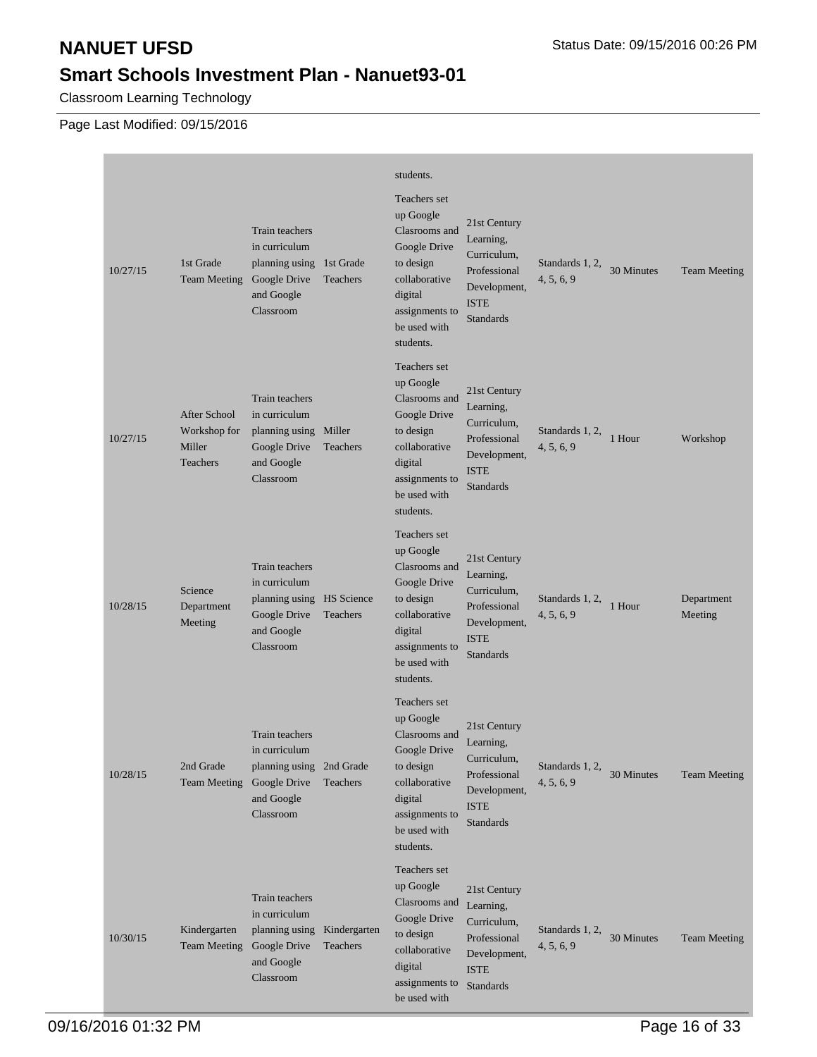Classroom Learning Technology

| 10/27/15 | 1st Grade<br><b>Team Meeting</b>                   | <b>Train teachers</b><br>in curriculum<br>planning using 1st Grade<br>Google Drive<br>and Google<br>Classroom | Teachers                 | students.<br>Teachers set<br>up Google<br>Clasrooms and<br>Google Drive<br>to design<br>collaborative<br>digital<br>assignments to<br>be used with<br>students. | 21st Century<br>Learning,<br>Curriculum.<br>Professional<br>Development,<br><b>ISTE</b><br><b>Standards</b> | Standards 1, 2,<br>4, 5, 6, 9 | 30 Minutes | <b>Team Meeting</b>   |
|----------|----------------------------------------------------|---------------------------------------------------------------------------------------------------------------|--------------------------|-----------------------------------------------------------------------------------------------------------------------------------------------------------------|-------------------------------------------------------------------------------------------------------------|-------------------------------|------------|-----------------------|
| 10/27/15 | After School<br>Workshop for<br>Miller<br>Teachers | Train teachers<br>in curriculum<br>planning using Miller<br>Google Drive<br>and Google<br>Classroom           | Teachers                 | Teachers set<br>up Google<br>Clasrooms and<br>Google Drive<br>to design<br>collaborative<br>digital<br>assignments to<br>be used with<br>students.              | 21st Century<br>Learning,<br>Curriculum,<br>Professional<br>Development,<br><b>ISTE</b><br><b>Standards</b> | Standards 1, 2,<br>4, 5, 6, 9 | 1 Hour     | Workshop              |
| 10/28/15 | Science<br>Department<br>Meeting                   | Train teachers<br>in curriculum<br>planning using HS Science<br>Google Drive<br>and Google<br>Classroom       | Teachers                 | Teachers set<br>up Google<br>Clasrooms and<br>Google Drive<br>to design<br>collaborative<br>digital<br>assignments to<br>be used with<br>students.              | 21st Century<br>Learning,<br>Curriculum,<br>Professional<br>Development,<br><b>ISTE</b><br><b>Standards</b> | Standards 1, 2,<br>4, 5, 6, 9 | 1 Hour     | Department<br>Meeting |
| 10/28/15 | 2nd Grade<br><b>Team Meeting</b>                   | Train teachers<br>in curriculum<br>planning using 2nd Grade<br>Google Drive<br>and Google<br>Classroom        | Teachers                 | Teachers set<br>up Google<br>Clasrooms and<br>Google Drive<br>to design<br>collaborative<br>digital<br>assignments to<br>be used with<br>students.              | 21st Century<br>Learning,<br>Curriculum,<br>Professional<br>Development,<br><b>ISTE</b><br>Standards        | Standards 1, 2,<br>4, 5, 6, 9 | 30 Minutes | <b>Team Meeting</b>   |
| 10/30/15 | Kindergarten<br><b>Team Meeting</b>                | Train teachers<br>in curriculum<br>planning using<br>Google Drive<br>and Google<br>Classroom                  | Kindergarten<br>Teachers | Teachers set<br>up Google<br>Clasrooms and<br>Google Drive<br>to design<br>collaborative<br>digital<br>assignments to<br>be used with                           | 21st Century<br>Learning,<br>Curriculum,<br>Professional<br>Development,<br><b>ISTE</b><br>Standards        | Standards 1, 2,<br>4, 5, 6, 9 | 30 Minutes | <b>Team Meeting</b>   |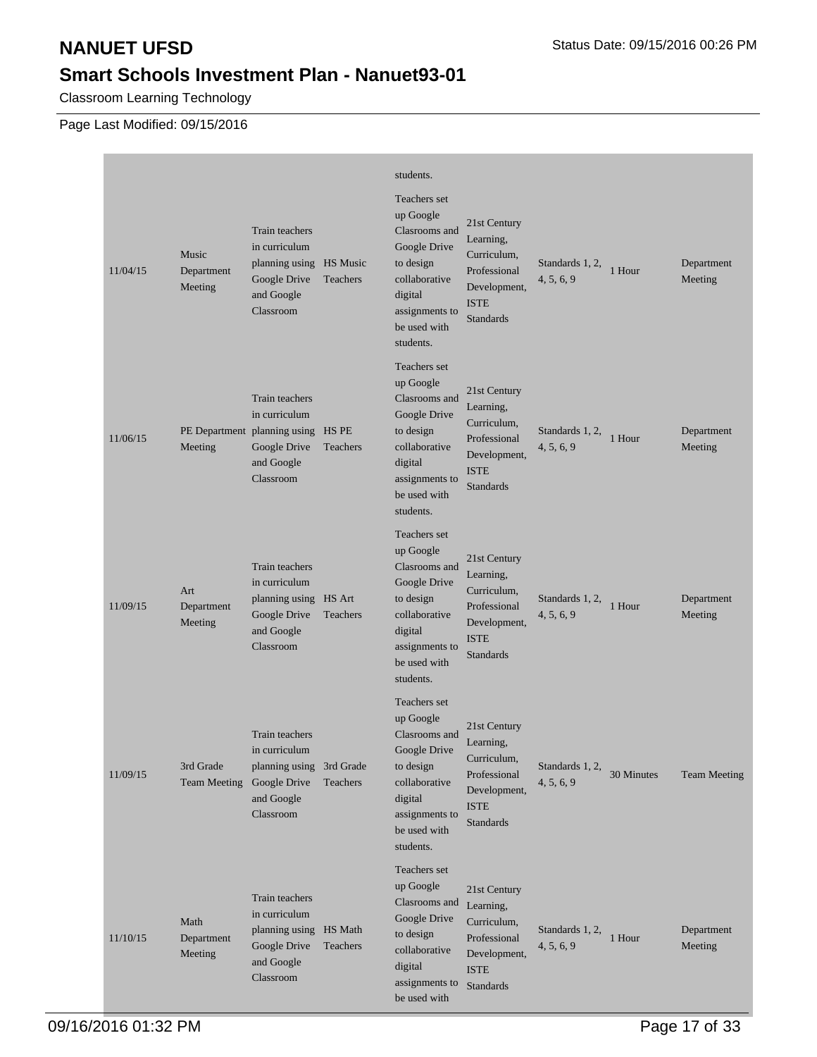Classroom Learning Technology

|          |                                  |                                                                                                                         |          | students.                                                                                                                                          |                                                                                                             |                               |            |                       |
|----------|----------------------------------|-------------------------------------------------------------------------------------------------------------------------|----------|----------------------------------------------------------------------------------------------------------------------------------------------------|-------------------------------------------------------------------------------------------------------------|-------------------------------|------------|-----------------------|
| 11/04/15 | Music<br>Department<br>Meeting   | Train teachers<br>in curriculum<br>planning using HS Music<br>Google Drive<br>and Google<br>Classroom                   | Teachers | Teachers set<br>up Google<br>Clasrooms and<br>Google Drive<br>to design<br>collaborative<br>digital<br>assignments to<br>be used with<br>students. | 21st Century<br>Learning,<br>Curriculum,<br>Professional<br>Development,<br><b>ISTE</b><br><b>Standards</b> | Standards 1, 2,<br>4, 5, 6, 9 | 1 Hour     | Department<br>Meeting |
| 11/06/15 | Meeting                          | <b>Train teachers</b><br>in curriculum<br>PE Department planning using HS PE<br>Google Drive<br>and Google<br>Classroom | Teachers | Teachers set<br>up Google<br>Clasrooms and<br>Google Drive<br>to design<br>collaborative<br>digital<br>assignments to<br>be used with<br>students. | 21st Century<br>Learning,<br>Curriculum,<br>Professional<br>Development,<br><b>ISTE</b><br><b>Standards</b> | Standards 1, 2,<br>4, 5, 6, 9 | 1 Hour     | Department<br>Meeting |
| 11/09/15 | Art<br>Department<br>Meeting     | Train teachers<br>in curriculum<br>planning using HS Art<br>Google Drive<br>and Google<br>Classroom                     | Teachers | Teachers set<br>up Google<br>Clasrooms and<br>Google Drive<br>to design<br>collaborative<br>digital<br>assignments to<br>be used with<br>students. | 21st Century<br>Learning,<br>Curriculum,<br>Professional<br>Development,<br><b>ISTE</b><br><b>Standards</b> | Standards 1, 2,<br>4, 5, 6, 9 | 1 Hour     | Department<br>Meeting |
| 11/09/15 | 3rd Grade<br><b>Team Meeting</b> | <b>Train teachers</b><br>in curriculum<br>planning using 3rd Grade<br>Google Drive<br>and Google<br>Classroom           | Teachers | Teachers set<br>up Google<br>Clasrooms and<br>Google Drive<br>to design<br>collaborative<br>digital<br>assignments to<br>be used with<br>students. | 21st Century<br>Learning,<br>Curriculum,<br>Professional<br>Development,<br><b>ISTE</b><br>Standards        | Standards 1, 2,<br>4, 5, 6, 9 | 30 Minutes | <b>Team Meeting</b>   |
| 11/10/15 | Math<br>Department<br>Meeting    | Train teachers<br>in curriculum<br>planning using HS Math<br>Google Drive<br>and Google<br>Classroom                    | Teachers | Teachers set<br>up Google<br>Clasrooms and<br>Google Drive<br>to design<br>collaborative<br>digital<br>assignments to<br>be used with              | 21st Century<br>Learning,<br>Curriculum,<br>Professional<br>Development,<br><b>ISTE</b><br>Standards        | Standards 1, 2,<br>4, 5, 6, 9 | 1 Hour     | Department<br>Meeting |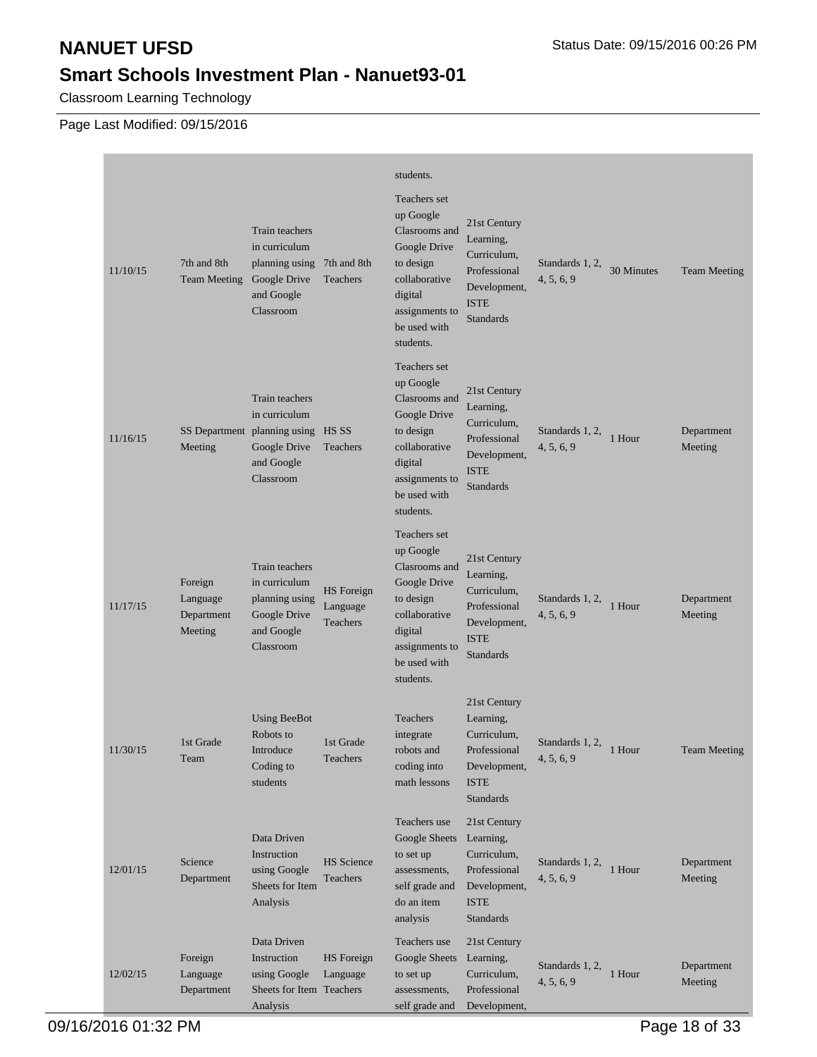Classroom Learning Technology

|          |                                              |                                                                                                                         |                                           | students.                                                                                                                                          |                                                                                                             |                               |            |                       |
|----------|----------------------------------------------|-------------------------------------------------------------------------------------------------------------------------|-------------------------------------------|----------------------------------------------------------------------------------------------------------------------------------------------------|-------------------------------------------------------------------------------------------------------------|-------------------------------|------------|-----------------------|
| 11/10/15 | 7th and 8th<br><b>Team Meeting</b>           | <b>Train teachers</b><br>in curriculum<br>planning using 7th and 8th<br>Google Drive<br>and Google<br>Classroom         | Teachers                                  | Teachers set<br>up Google<br>Clasrooms and<br>Google Drive<br>to design<br>collaborative<br>digital<br>assignments to<br>be used with<br>students. | 21st Century<br>Learning,<br>Curriculum,<br>Professional<br>Development,<br><b>ISTE</b><br><b>Standards</b> | Standards 1, 2,<br>4, 5, 6, 9 | 30 Minutes | <b>Team Meeting</b>   |
| 11/16/15 | Meeting                                      | <b>Train teachers</b><br>in curriculum<br>SS Department planning using HS SS<br>Google Drive<br>and Google<br>Classroom | Teachers                                  | Teachers set<br>up Google<br>Clasrooms and<br>Google Drive<br>to design<br>collaborative<br>digital<br>assignments to<br>be used with<br>students. | 21st Century<br>Learning,<br>Curriculum,<br>Professional<br>Development,<br><b>ISTE</b><br><b>Standards</b> | Standards 1, 2,<br>4, 5, 6, 9 | 1 Hour     | Department<br>Meeting |
| 11/17/15 | Foreign<br>Language<br>Department<br>Meeting | Train teachers<br>in curriculum<br>planning using<br>Google Drive<br>and Google<br>Classroom                            | <b>HS</b> Foreign<br>Language<br>Teachers | Teachers set<br>up Google<br>Clasrooms and<br>Google Drive<br>to design<br>collaborative<br>digital<br>assignments to<br>be used with<br>students. | 21st Century<br>Learning,<br>Curriculum,<br>Professional<br>Development,<br><b>ISTE</b><br><b>Standards</b> | Standards 1, 2,<br>4, 5, 6, 9 | 1 Hour     | Department<br>Meeting |
| 11/30/15 | 1st Grade<br>Team                            | <b>Using BeeBot</b><br>Robots to<br>Introduce<br>Coding to<br>students                                                  | 1st Grade<br>Teachers                     | Teachers<br>integrate<br>robots and<br>coding into<br>math lessons                                                                                 | 21st Century<br>Learning,<br>Curriculum.<br>Professional<br>Development,<br><b>ISTE</b><br><b>Standards</b> | Standards 1, 2,<br>4, 5, 6, 9 | 1 Hour     | <b>Team Meeting</b>   |
| 12/01/15 | Science<br>Department                        | Data Driven<br>Instruction<br>using Google<br>Sheets for Item<br>Analysis                                               | <b>HS</b> Science<br>Teachers             | Teachers use<br>Google Sheets<br>to set up<br>assessments,<br>self grade and<br>do an item<br>analysis                                             | 21st Century<br>Learning,<br>Curriculum,<br>Professional<br>Development,<br><b>ISTE</b><br><b>Standards</b> | Standards 1, 2,<br>4, 5, 6, 9 | 1 Hour     | Department<br>Meeting |
| 12/02/15 | Foreign<br>Language<br>Department            | Data Driven<br>Instruction<br>using Google<br>Sheets for Item Teachers<br>Analysis                                      | HS Foreign<br>Language                    | Teachers use<br>Google Sheets<br>to set up<br>assessments,<br>self grade and                                                                       | 21st Century<br>Learning,<br>Curriculum,<br>Professional<br>Development,                                    | Standards 1, 2,<br>4, 5, 6, 9 | 1 Hour     | Department<br>Meeting |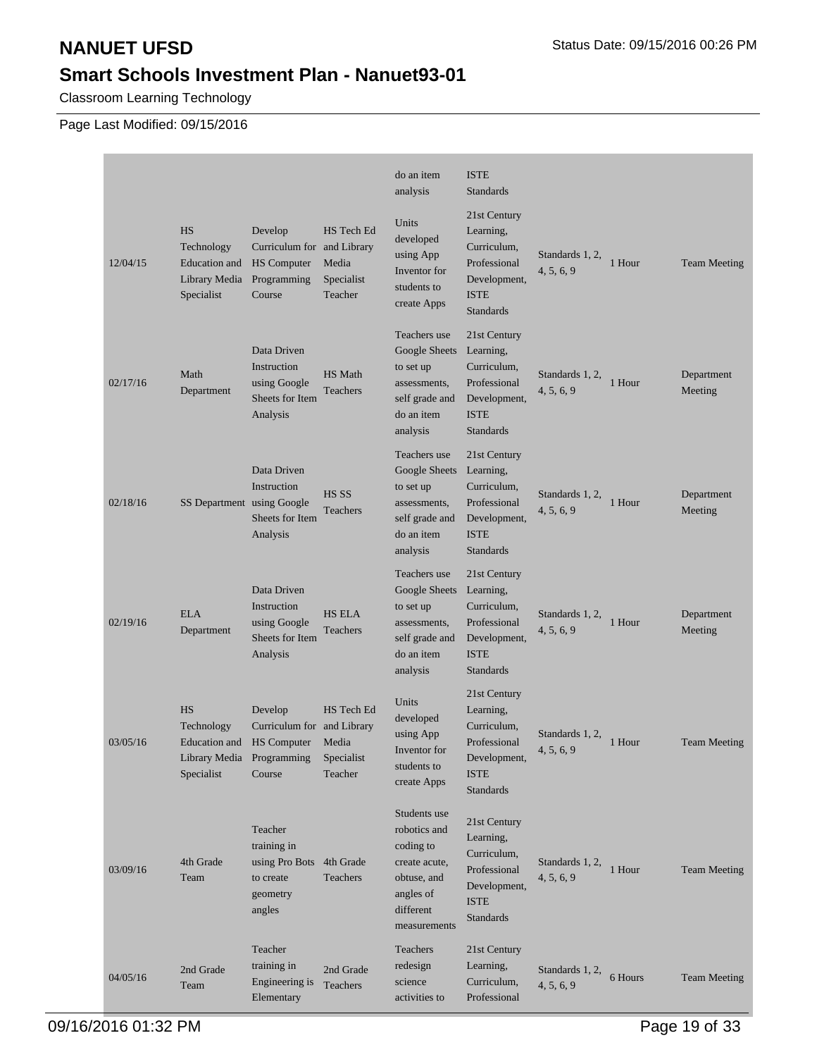Classroom Learning Technology

|          |                                                                         |                                                                                                               |                                              | do an item<br>analysis                                                                                              | <b>ISTE</b><br><b>Standards</b>                                                                             |                               |         |                       |
|----------|-------------------------------------------------------------------------|---------------------------------------------------------------------------------------------------------------|----------------------------------------------|---------------------------------------------------------------------------------------------------------------------|-------------------------------------------------------------------------------------------------------------|-------------------------------|---------|-----------------------|
| 12/04/15 | <b>HS</b><br>Technology<br>Education and<br>Library Media<br>Specialist | Develop<br>Curriculum for and Library<br><b>HS</b> Computer<br>Programming<br>Course                          | HS Tech Ed<br>Media<br>Specialist<br>Teacher | Units<br>developed<br>using App<br>Inventor for<br>students to<br>create Apps                                       | 21st Century<br>Learning,<br>Curriculum,<br>Professional<br>Development,<br><b>ISTE</b><br><b>Standards</b> | Standards 1, 2,<br>4, 5, 6, 9 | 1 Hour  | <b>Team Meeting</b>   |
| 02/17/16 | Math<br>Department                                                      | Data Driven<br>Instruction<br>using Google<br>Sheets for Item<br>Analysis                                     | <b>HS</b> Math<br>Teachers                   | Teachers use<br>Google Sheets<br>to set up<br>assessments,<br>self grade and<br>do an item<br>analysis              | 21st Century<br>Learning,<br>Curriculum,<br>Professional<br>Development,<br><b>ISTE</b><br><b>Standards</b> | Standards 1, 2,<br>4, 5, 6, 9 | 1 Hour  | Department<br>Meeting |
| 02/18/16 | SS Department using Google                                              | Data Driven<br>Instruction<br>Sheets for Item<br>Analysis                                                     | HS SS<br><b>Teachers</b>                     | Teachers use<br>Google Sheets<br>to set up<br>assessments,<br>self grade and<br>do an item<br>analysis              | 21st Century<br>Learning,<br>Curriculum,<br>Professional<br>Development,<br><b>ISTE</b><br><b>Standards</b> | Standards 1, 2,<br>4, 5, 6, 9 | 1 Hour  | Department<br>Meeting |
| 02/19/16 | <b>ELA</b><br>Department                                                | Data Driven<br>Instruction<br>using Google<br>Sheets for Item<br>Analysis                                     | <b>HS ELA</b><br>Teachers                    | Teachers use<br>Google Sheets<br>to set up<br>assessments,<br>self grade and<br>do an item<br>analysis              | 21st Century<br>Learning,<br>Curriculum,<br>Professional<br>Development,<br><b>ISTE</b><br><b>Standards</b> | Standards 1, 2,<br>4, 5, 6, 9 | 1 Hour  | Department<br>Meeting |
| 03/05/16 | <b>HS</b><br>Technology<br><b>Education</b> and<br>Specialist           | Develop<br>Curriculum for and Library<br><b>HS</b> Computer<br>Library Media Programming Specialist<br>Course | HS Tech Ed<br>Media<br>Teacher               | Units<br>developed<br>using App<br>Inventor for<br>students to<br>create Apps                                       | 21st Century<br>Learning,<br>Curriculum,<br>Professional<br>Development,<br><b>ISTE</b><br><b>Standards</b> | Standards 1, 2,<br>4, 5, 6, 9 | 1 Hour  | <b>Team Meeting</b>   |
| 03/09/16 | 4th Grade<br>Team                                                       | Teacher<br>training in<br>using Pro Bots 4th Grade<br>to create<br>geometry<br>angles                         | Teachers                                     | Students use<br>robotics and<br>coding to<br>create acute,<br>obtuse, and<br>angles of<br>different<br>measurements | 21st Century<br>Learning,<br>Curriculum,<br>Professional<br>Development,<br><b>ISTE</b><br><b>Standards</b> | Standards 1, 2,<br>4, 5, 6, 9 | 1 Hour  | <b>Team Meeting</b>   |
| 04/05/16 | 2nd Grade<br>Team                                                       | Teacher<br>training in<br>Engineering is<br>Elementary                                                        | 2nd Grade<br>Teachers                        | Teachers<br>redesign<br>science<br>activities to                                                                    | 21st Century<br>Learning,<br>Curriculum,<br>Professional                                                    | Standards 1, 2,<br>4, 5, 6, 9 | 6 Hours | <b>Team Meeting</b>   |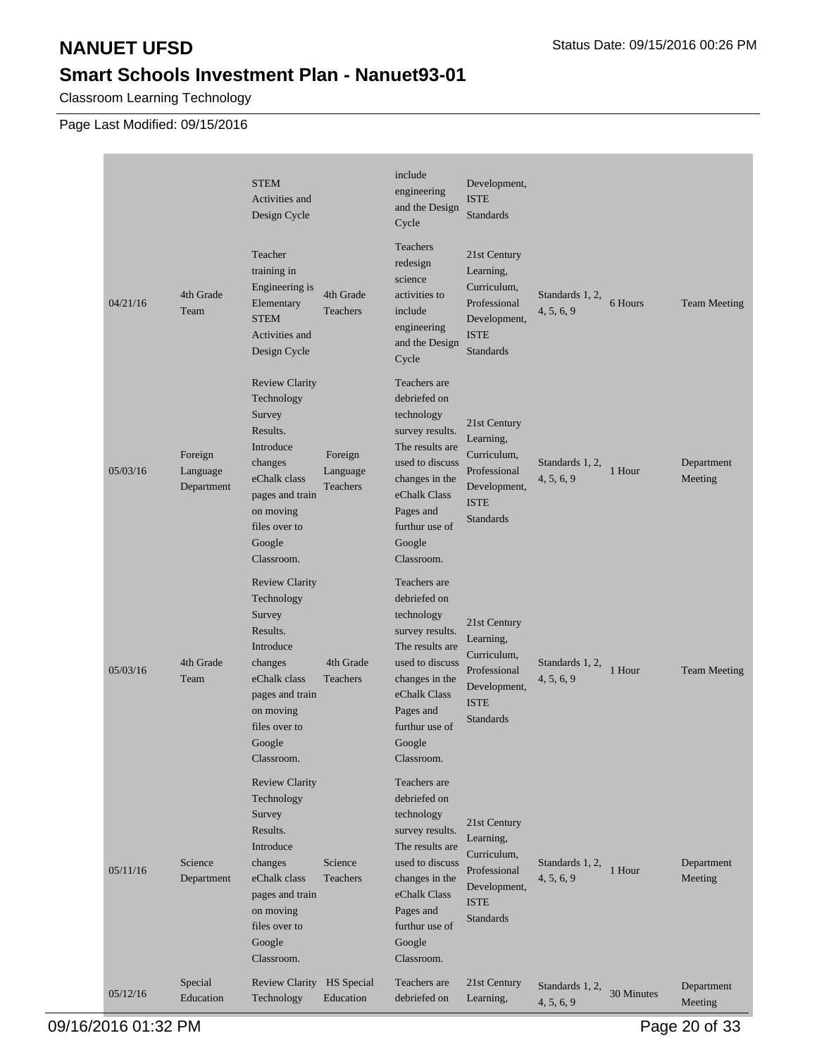п

## **Smart Schools Investment Plan - Nanuet93-01**

Classroom Learning Technology

|          |                                   | <b>STEM</b><br>Activities and<br>Design Cycle                                                                                                                              |                                 | include<br>engineering<br>and the Design<br>Cycle                                                                                                                                            | Development,<br><b>ISTE</b><br><b>Standards</b>                                                             |                               |            |                       |
|----------|-----------------------------------|----------------------------------------------------------------------------------------------------------------------------------------------------------------------------|---------------------------------|----------------------------------------------------------------------------------------------------------------------------------------------------------------------------------------------|-------------------------------------------------------------------------------------------------------------|-------------------------------|------------|-----------------------|
| 04/21/16 | 4th Grade<br>Team                 | Teacher<br>training in<br>Engineering is<br>Elementary<br><b>STEM</b><br>Activities and<br>Design Cycle                                                                    | 4th Grade<br>Teachers           | Teachers<br>redesign<br>science<br>activities to<br>include<br>engineering<br>and the Design<br>Cycle                                                                                        | 21st Century<br>Learning,<br>Curriculum,<br>Professional<br>Development,<br><b>ISTE</b><br><b>Standards</b> | Standards 1, 2,<br>4, 5, 6, 9 | 6 Hours    | <b>Team Meeting</b>   |
| 05/03/16 | Foreign<br>Language<br>Department | <b>Review Clarity</b><br>Technology<br>Survey<br>Results.<br>Introduce<br>changes<br>eChalk class<br>pages and train<br>on moving<br>files over to<br>Google<br>Classroom. | Foreign<br>Language<br>Teachers | Teachers are<br>debriefed on<br>technology<br>survey results.<br>The results are<br>used to discuss<br>changes in the<br>eChalk Class<br>Pages and<br>furthur use of<br>Google<br>Classroom. | 21st Century<br>Learning,<br>Curriculum,<br>Professional<br>Development,<br><b>ISTE</b><br><b>Standards</b> | Standards 1, 2,<br>4, 5, 6, 9 | 1 Hour     | Department<br>Meeting |
| 05/03/16 | 4th Grade<br>Team                 | <b>Review Clarity</b><br>Technology<br>Survey<br>Results.<br>Introduce<br>changes<br>eChalk class<br>pages and train<br>on moving<br>files over to<br>Google<br>Classroom. | 4th Grade<br>Teachers           | Teachers are<br>debriefed on<br>technology<br>survey results.<br>The results are<br>used to discuss<br>changes in the<br>eChalk Class<br>Pages and<br>furthur use of<br>Google<br>Classroom. | 21st Century<br>Learning,<br>Curriculum,<br>Professional<br>Development,<br><b>ISTE</b><br><b>Standards</b> | Standards 1, 2,<br>4, 5, 6, 9 | 1 Hour     | <b>Team Meeting</b>   |
| 05/11/16 | Science<br>Department             | <b>Review Clarity</b><br>Technology<br>Survey<br>Results.<br>Introduce<br>changes<br>eChalk class<br>pages and train<br>on moving<br>files over to<br>Google<br>Classroom. | Science<br>Teachers             | Teachers are<br>debriefed on<br>technology<br>survey results.<br>The results are<br>used to discuss<br>changes in the<br>eChalk Class<br>Pages and<br>furthur use of<br>Google<br>Classroom. | 21st Century<br>Learning,<br>Curriculum,<br>Professional<br>Development,<br><b>ISTE</b><br><b>Standards</b> | Standards 1, 2,<br>4, 5, 6, 9 | 1 Hour     | Department<br>Meeting |
| 05/12/16 | Special<br>Education              | Review Clarity HS Special<br>Technology                                                                                                                                    | Education                       | Teachers are<br>debriefed on                                                                                                                                                                 | 21st Century<br>Learning,                                                                                   | Standards 1, 2,<br>4, 5, 6, 9 | 30 Minutes | Department<br>Meeting |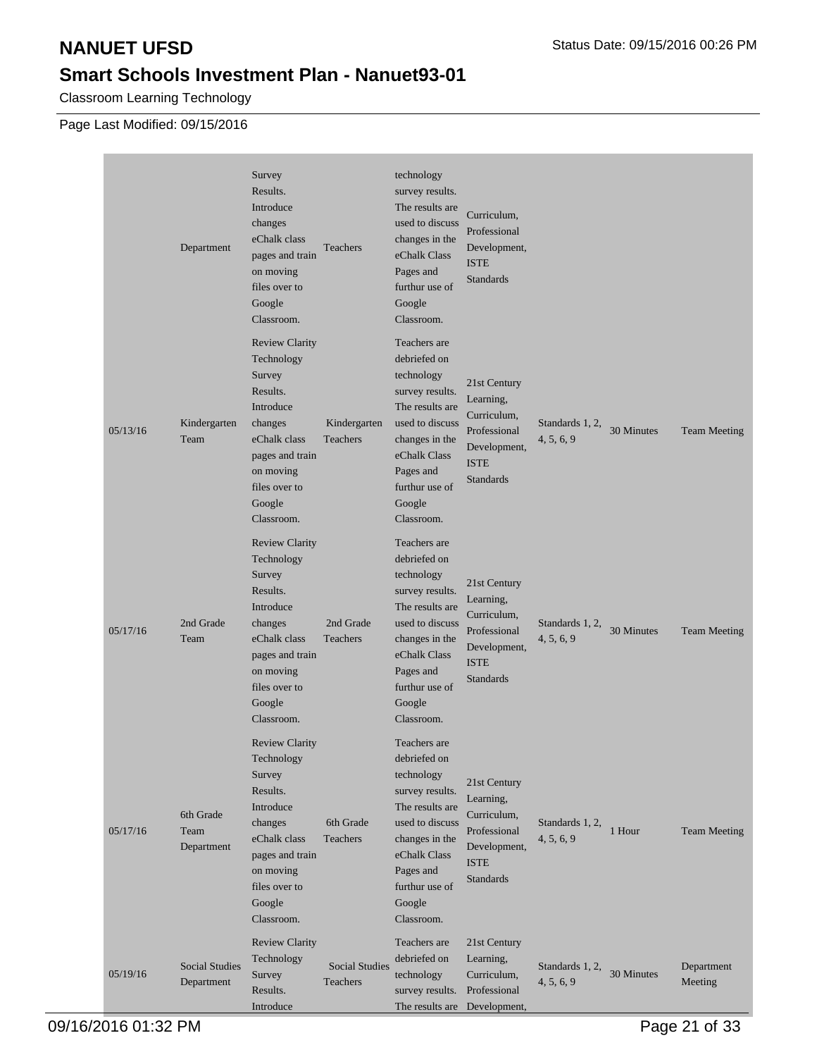Classroom Learning Technology

|          | Department                          | Survey<br>Results.<br>Introduce<br>changes<br>eChalk class<br>pages and train<br>on moving<br>files over to<br>Google<br>Classroom.                                        | Teachers                          | technology<br>survey results.<br>The results are<br>used to discuss<br>changes in the<br>eChalk Class<br>Pages and<br>furthur use of<br>Google<br>Classroom.                                 | Curriculum,<br>Professional<br>Development,<br><b>ISTE</b><br>Standards                                     |                               |            |                       |
|----------|-------------------------------------|----------------------------------------------------------------------------------------------------------------------------------------------------------------------------|-----------------------------------|----------------------------------------------------------------------------------------------------------------------------------------------------------------------------------------------|-------------------------------------------------------------------------------------------------------------|-------------------------------|------------|-----------------------|
| 05/13/16 | Kindergarten<br>Team                | <b>Review Clarity</b><br>Technology<br>Survey<br>Results.<br>Introduce<br>changes<br>eChalk class<br>pages and train<br>on moving<br>files over to<br>Google<br>Classroom. | Kindergarten<br>Teachers          | Teachers are<br>debriefed on<br>technology<br>survey results.<br>The results are<br>used to discuss<br>changes in the<br>eChalk Class<br>Pages and<br>furthur use of<br>Google<br>Classroom. | 21st Century<br>Learning,<br>Curriculum,<br>Professional<br>Development,<br><b>ISTE</b><br><b>Standards</b> | Standards 1, 2,<br>4, 5, 6, 9 | 30 Minutes | <b>Team Meeting</b>   |
| 05/17/16 | 2nd Grade<br>Team                   | <b>Review Clarity</b><br>Technology<br>Survey<br>Results.<br>Introduce<br>changes<br>eChalk class<br>pages and train<br>on moving<br>files over to<br>Google<br>Classroom. | 2nd Grade<br>Teachers             | Teachers are<br>debriefed on<br>technology<br>survey results.<br>The results are<br>used to discuss<br>changes in the<br>eChalk Class<br>Pages and<br>furthur use of<br>Google<br>Classroom. | 21st Century<br>Learning,<br>Curriculum,<br>Professional<br>Development,<br><b>ISTE</b><br>Standards        | Standards 1, 2,<br>4, 5, 6, 9 | 30 Minutes | <b>Team Meeting</b>   |
| 05/17/16 | 6th Grade<br>Team<br>Department     | <b>Review Clarity</b><br>Technology<br>Survey<br>Results.<br>Introduce<br>changes<br>eChalk class<br>pages and train<br>on moving<br>files over to<br>Google<br>Classroom. | 6th Grade<br>Teachers             | Teachers are<br>debriefed on<br>technology<br>survey results.<br>The results are<br>used to discuss<br>changes in the<br>eChalk Class<br>Pages and<br>furthur use of<br>Google<br>Classroom. | 21st Century<br>Learning,<br>Curriculum,<br>Professional<br>Development,<br><b>ISTE</b><br><b>Standards</b> | Standards 1, 2,<br>4, 5, 6, 9 | 1 Hour     | <b>Team Meeting</b>   |
| 05/19/16 | <b>Social Studies</b><br>Department | <b>Review Clarity</b><br>Technology<br>Survey<br>Results.<br>Introduce                                                                                                     | <b>Social Studies</b><br>Teachers | Teachers are<br>debriefed on<br>technology<br>survey results. Professional<br>The results are Development,                                                                                   | 21st Century<br>Learning,<br>Curriculum,                                                                    | Standards 1, 2,<br>4, 5, 6, 9 | 30 Minutes | Department<br>Meeting |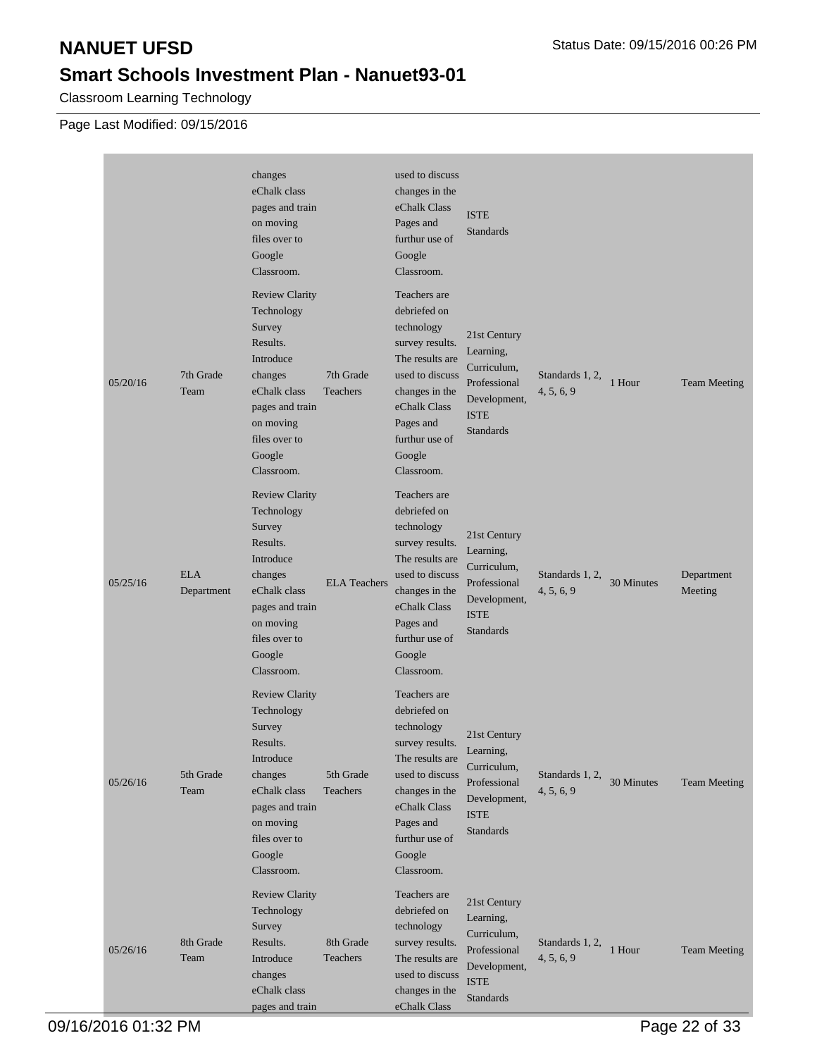Classroom Learning Technology

|          |                          | changes<br>eChalk class<br>pages and train<br>on moving<br>files over to<br>Google<br>Classroom.                                                                           |                       | used to discuss<br>changes in the<br>eChalk Class<br>Pages and<br>furthur use of<br>Google<br>Classroom.                                                                                     | <b>ISTE</b><br><b>Standards</b>                                                                             |                               |            |                       |
|----------|--------------------------|----------------------------------------------------------------------------------------------------------------------------------------------------------------------------|-----------------------|----------------------------------------------------------------------------------------------------------------------------------------------------------------------------------------------|-------------------------------------------------------------------------------------------------------------|-------------------------------|------------|-----------------------|
| 05/20/16 | 7th Grade<br>Team        | <b>Review Clarity</b><br>Technology<br>Survey<br>Results.<br>Introduce<br>changes<br>eChalk class<br>pages and train<br>on moving<br>files over to<br>Google<br>Classroom. | 7th Grade<br>Teachers | Teachers are<br>debriefed on<br>technology<br>survey results.<br>The results are<br>used to discuss<br>changes in the<br>eChalk Class<br>Pages and<br>furthur use of<br>Google<br>Classroom. | 21st Century<br>Learning,<br>Curriculum,<br>Professional<br>Development,<br><b>ISTE</b><br><b>Standards</b> | Standards 1, 2,<br>4, 5, 6, 9 | 1 Hour     | <b>Team Meeting</b>   |
| 05/25/16 | <b>ELA</b><br>Department | <b>Review Clarity</b><br>Technology<br>Survey<br>Results.<br>Introduce<br>changes<br>eChalk class<br>pages and train<br>on moving<br>files over to<br>Google<br>Classroom. | <b>ELA</b> Teachers   | Teachers are<br>debriefed on<br>technology<br>survey results.<br>The results are<br>used to discuss<br>changes in the<br>eChalk Class<br>Pages and<br>furthur use of<br>Google<br>Classroom. | 21st Century<br>Learning,<br>Curriculum,<br>Professional<br>Development,<br><b>ISTE</b><br><b>Standards</b> | Standards 1, 2,<br>4, 5, 6, 9 | 30 Minutes | Department<br>Meeting |
| 05/26/16 | 5th Grade<br>Team        | <b>Review Clarity</b><br>Technology<br>Survey<br>Results.<br>Introduce<br>changes<br>eChalk class<br>pages and train<br>on moving<br>files over to<br>Google<br>Classroom. | 5th Grade<br>Teachers | Teachers are<br>debriefed on<br>technology<br>survey results.<br>The results are<br>used to discuss<br>changes in the<br>eChalk Class<br>Pages and<br>furthur use of<br>Google<br>Classroom. | 21st Century<br>Learning,<br>Curriculum,<br>Professional<br>Development,<br><b>ISTE</b><br>Standards        | Standards 1, 2,<br>4, 5, 6, 9 | 30 Minutes | <b>Team Meeting</b>   |
| 05/26/16 | 8th Grade<br>Team        | <b>Review Clarity</b><br>Technology<br>Survey<br>Results.<br>Introduce<br>changes<br>eChalk class<br>pages and train                                                       | 8th Grade<br>Teachers | Teachers are<br>debriefed on<br>technology<br>survey results.<br>The results are<br>used to discuss<br>changes in the<br>eChalk Class                                                        | 21st Century<br>Learning,<br>Curriculum,<br>Professional<br>Development,<br><b>ISTE</b><br><b>Standards</b> | Standards 1, 2,<br>4, 5, 6, 9 | 1 Hour     | <b>Team Meeting</b>   |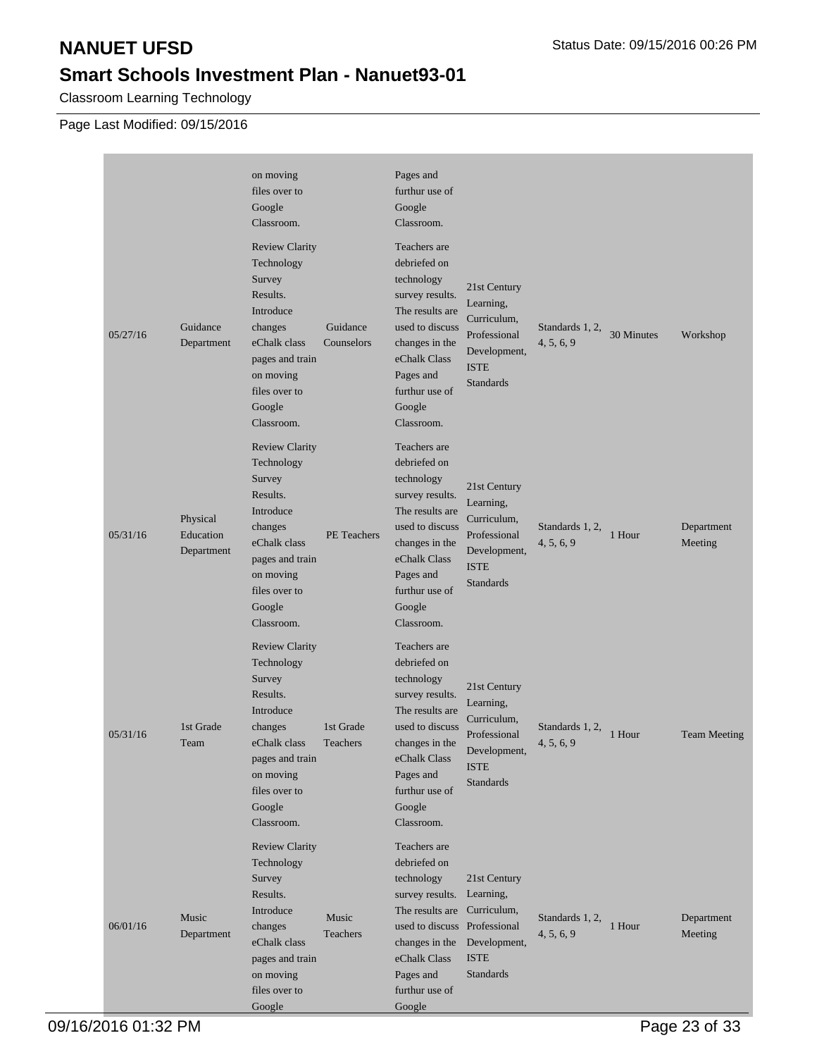Classroom Learning Technology

|          |                                     | on moving<br>files over to<br>Google<br>Classroom.                                                                                                                         |                        | Pages and<br>furthur use of<br>Google<br>Classroom.                                                                                                                                                     |                                                                                                             |                               |            |                       |
|----------|-------------------------------------|----------------------------------------------------------------------------------------------------------------------------------------------------------------------------|------------------------|---------------------------------------------------------------------------------------------------------------------------------------------------------------------------------------------------------|-------------------------------------------------------------------------------------------------------------|-------------------------------|------------|-----------------------|
| 05/27/16 | Guidance<br>Department              | <b>Review Clarity</b><br>Technology<br>Survey<br>Results.<br>Introduce<br>changes<br>eChalk class<br>pages and train<br>on moving<br>files over to<br>Google<br>Classroom. | Guidance<br>Counselors | Teachers are<br>debriefed on<br>technology<br>survey results.<br>The results are<br>used to discuss<br>changes in the<br>eChalk Class<br>Pages and<br>furthur use of<br>Google<br>Classroom.            | 21st Century<br>Learning,<br>Curriculum,<br>Professional<br>Development,<br><b>ISTE</b><br><b>Standards</b> | Standards 1, 2,<br>4, 5, 6, 9 | 30 Minutes | Workshop              |
| 05/31/16 | Physical<br>Education<br>Department | <b>Review Clarity</b><br>Technology<br>Survey<br>Results.<br>Introduce<br>changes<br>eChalk class<br>pages and train<br>on moving<br>files over to<br>Google<br>Classroom. | PE Teachers            | Teachers are<br>debriefed on<br>technology<br>survey results.<br>The results are<br>used to discuss<br>changes in the<br>eChalk Class<br>Pages and<br>furthur use of<br>Google<br>Classroom.            | 21st Century<br>Learning,<br>Curriculum,<br>Professional<br>Development,<br><b>ISTE</b><br>Standards        | Standards 1, 2,<br>4, 5, 6, 9 | 1 Hour     | Department<br>Meeting |
| 05/31/16 | 1st Grade<br>Team                   | <b>Review Clarity</b><br>Technology<br>Survey<br>Results.<br>Introduce<br>changes<br>eChalk class<br>pages and train<br>on moving<br>files over to<br>Google<br>Classroom. | 1st Grade<br>Teachers  | Teachers are<br>debriefed on<br>technology<br>survey results.<br>The results are<br>used to discuss<br>changes in the<br>eChalk Class<br>Pages and<br>furthur use of<br>Google<br>Classroom.            | 21st Century<br>Learning,<br>Curriculum,<br>Professional<br>Development,<br><b>ISTE</b><br>Standards        | Standards 1, 2,<br>4, 5, 6, 9 | 1 Hour     | <b>Team Meeting</b>   |
| 06/01/16 | Music<br>Department                 | <b>Review Clarity</b><br>Technology<br>Survey<br>Results.<br>Introduce<br>changes<br>eChalk class<br>pages and train<br>on moving<br>files over to<br>Google               | Music<br>Teachers      | Teachers are<br>debriefed on<br>technology<br>survey results.<br>The results are Curriculum,<br>used to discuss Professional<br>changes in the<br>eChalk Class<br>Pages and<br>furthur use of<br>Google | 21st Century<br>Learning,<br>Development,<br><b>ISTE</b><br><b>Standards</b>                                | Standards 1, 2,<br>4, 5, 6, 9 | 1 Hour     | Department<br>Meeting |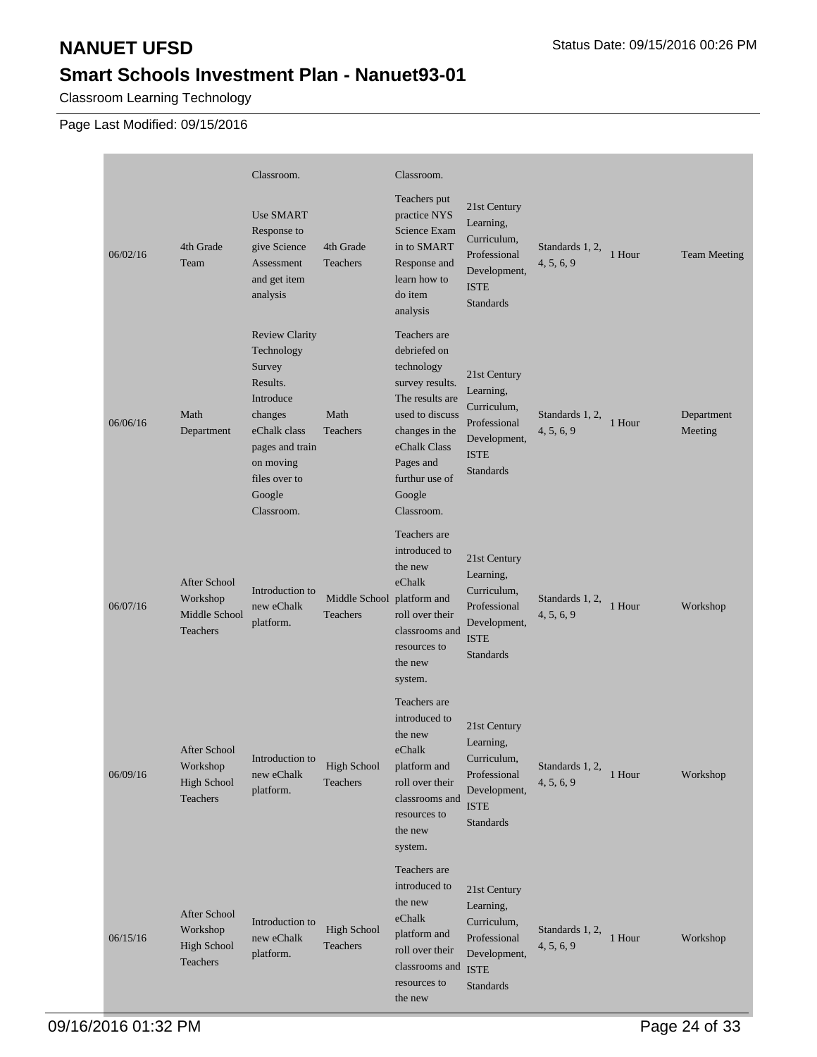Classroom Learning Technology

Page Last Modified: 09/15/2016

|          |                                                            | Classroom.                                                                                                                                                                 |                                               | Classroom.                                                                                                                                                                                   |                                                                                                             |                               |        |                       |
|----------|------------------------------------------------------------|----------------------------------------------------------------------------------------------------------------------------------------------------------------------------|-----------------------------------------------|----------------------------------------------------------------------------------------------------------------------------------------------------------------------------------------------|-------------------------------------------------------------------------------------------------------------|-------------------------------|--------|-----------------------|
| 06/02/16 | 4th Grade<br>Team                                          | <b>Use SMART</b><br>Response to<br>give Science<br>Assessment<br>and get item<br>analysis                                                                                  | 4th Grade<br>Teachers                         | Teachers put<br>practice NYS<br>Science Exam<br>in to SMART<br>Response and<br>learn how to<br>do item<br>analysis                                                                           | 21st Century<br>Learning,<br>Curriculum,<br>Professional<br>Development,<br><b>ISTE</b><br><b>Standards</b> | Standards 1, 2,<br>4, 5, 6, 9 | 1 Hour | <b>Team Meeting</b>   |
| 06/06/16 | Math<br>Department                                         | <b>Review Clarity</b><br>Technology<br>Survey<br>Results.<br>Introduce<br>changes<br>eChalk class<br>pages and train<br>on moving<br>files over to<br>Google<br>Classroom. | Math<br>Teachers                              | Teachers are<br>debriefed on<br>technology<br>survey results.<br>The results are<br>used to discuss<br>changes in the<br>eChalk Class<br>Pages and<br>furthur use of<br>Google<br>Classroom. | 21st Century<br>Learning,<br>Curriculum,<br>Professional<br>Development,<br><b>ISTE</b><br><b>Standards</b> | Standards 1, 2,<br>4, 5, 6, 9 | 1 Hour | Department<br>Meeting |
| 06/07/16 | After School<br>Workshop<br>Middle School<br>Teachers      | Introduction to<br>new eChalk<br>platform.                                                                                                                                 | Middle School platform and<br><b>Teachers</b> | Teachers are<br>introduced to<br>the new<br>eChalk<br>roll over their<br>classrooms and<br>resources to<br>the new<br>system.                                                                | 21st Century<br>Learning,<br>Curriculum,<br>Professional<br>Development,<br><b>ISTE</b><br><b>Standards</b> | Standards 1, 2,<br>4, 5, 6, 9 | 1 Hour | Workshop              |
| 06/09/16 | After School<br>Workshop<br><b>High School</b><br>Teachers | Introduction to<br>new eChalk<br>platform.                                                                                                                                 | <b>High School</b><br>Teachers                | Teachers are<br>introduced to<br>the new<br>eChalk<br>platform and<br>roll over their<br>classrooms and<br>resources to<br>the new<br>system.                                                | 21st Century<br>Learning,<br>Curriculum,<br>Professional<br>Development,<br><b>ISTE</b><br>Standards        | Standards 1, 2,<br>4, 5, 6, 9 | 1 Hour | Workshop              |
| 06/15/16 | After School<br>Workshop<br>High School<br>Teachers        | Introduction to<br>new eChalk<br>platform.                                                                                                                                 | <b>High School</b><br>Teachers                | Teachers are<br>introduced to<br>the new<br>eChalk<br>platform and<br>roll over their<br>classrooms and<br>resources to<br>the new                                                           | 21st Century<br>Learning,<br>Curriculum,<br>Professional<br>Development,<br><b>ISTE</b><br>Standards        | Standards 1, 2,<br>4, 5, 6, 9 | 1 Hour | Workshop              |

09/16/2016 01:32 PM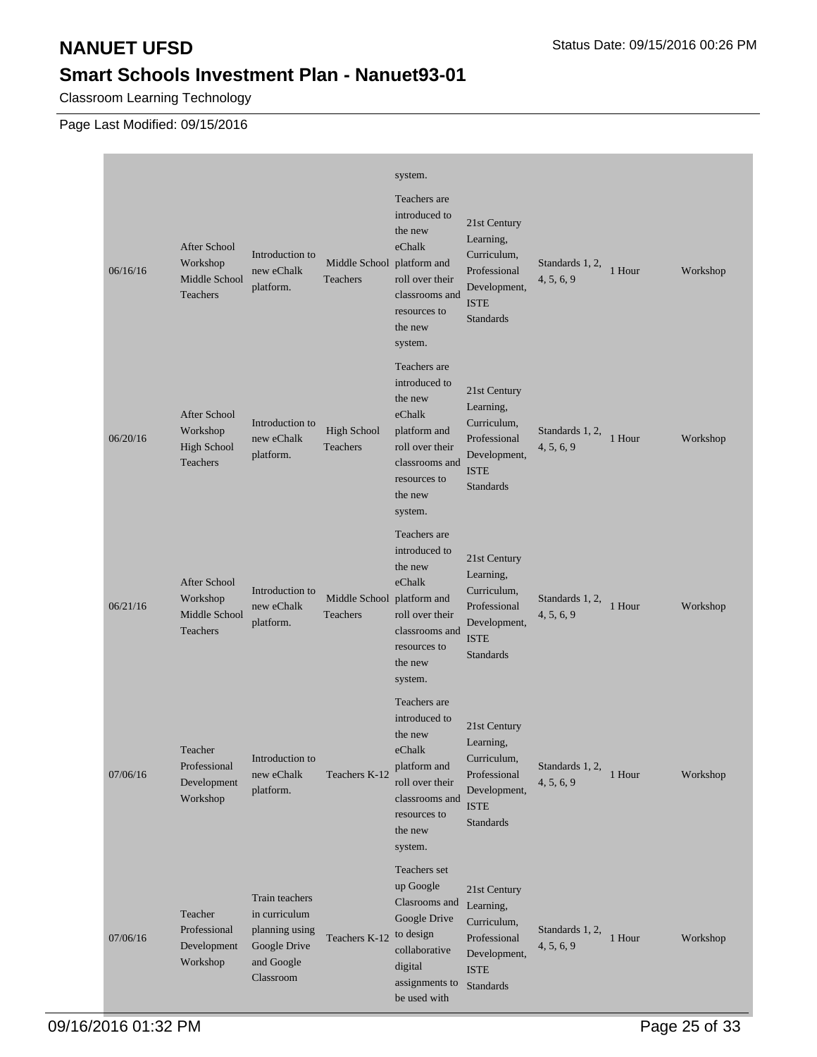Classroom Learning Technology

| 06/16/16 | <b>After School</b><br>Workshop<br>Middle School<br>Teachers | Introduction to<br>new eChalk<br>platform.                                                   | Middle School platform and<br>Teachers | system.<br>Teachers are<br>introduced to<br>the new<br>eChalk<br>roll over their<br>classrooms and<br>resources to<br>the new<br>system.      | 21st Century<br>Learning,<br>Curriculum,<br>Professional<br>Development,<br><b>ISTE</b><br><b>Standards</b>           | Standards 1, 2,<br>4, 5, 6, 9 | 1 Hour   | Workshop |
|----------|--------------------------------------------------------------|----------------------------------------------------------------------------------------------|----------------------------------------|-----------------------------------------------------------------------------------------------------------------------------------------------|-----------------------------------------------------------------------------------------------------------------------|-------------------------------|----------|----------|
| 06/20/16 | After School<br>Workshop<br>High School<br>Teachers          | Introduction to<br>new eChalk<br>platform.                                                   | <b>High School</b><br>Teachers         | Teachers are<br>introduced to<br>the new<br>eChalk<br>platform and<br>roll over their<br>classrooms and<br>resources to<br>the new<br>system. | 21st Century<br>Learning,<br>Curriculum,<br>Professional<br>Development,<br><b>ISTE</b><br>Standards                  | Standards 1, 2,<br>4, 5, 6, 9 | 1 Hour   | Workshop |
| 06/21/16 | After School<br>Workshop<br>Middle School<br>Teachers        | Introduction to<br>new eChalk<br>platform.                                                   | Middle School platform and<br>Teachers | Teachers are<br>introduced to<br>the new<br>eChalk<br>roll over their<br>classrooms and<br>resources to<br>the new<br>system.                 | 21st Century<br>Learning,<br>Curriculum,<br>Professional<br>Development,<br><b>ISTE</b><br><b>Standards</b>           | Standards 1, 2,<br>4, 5, 6, 9 | 1 Hour   | Workshop |
| 07/06/16 | Teacher<br>Professional<br>Development<br>Workshop           | Introduction to<br>new eChalk<br>platform.                                                   | Teachers K-12                          | Teachers are<br>introduced to<br>the new<br>eChalk<br>platform and<br>roll over their<br>classrooms and<br>resources to<br>the new<br>system. | 21st Century<br>Learning,<br>Curriculum,<br>Professional<br>Development,<br>$\operatorname{ISTE}$<br><b>Standards</b> | Standards 1, 2,<br>4, 5, 6, 9 | $1$ Hour | Workshop |
| 07/06/16 | Teacher<br>Professional<br>Development<br>Workshop           | Train teachers<br>in curriculum<br>planning using<br>Google Drive<br>and Google<br>Classroom | Teachers K-12                          | Teachers set<br>up Google<br>Clasrooms and<br>Google Drive<br>to design<br>collaborative<br>digital<br>assignments to<br>be used with         | 21st Century<br>Learning,<br>Curriculum,<br>Professional<br>Development,<br><b>ISTE</b><br>Standards                  | Standards 1, 2,<br>4, 5, 6, 9 | 1 Hour   | Workshop |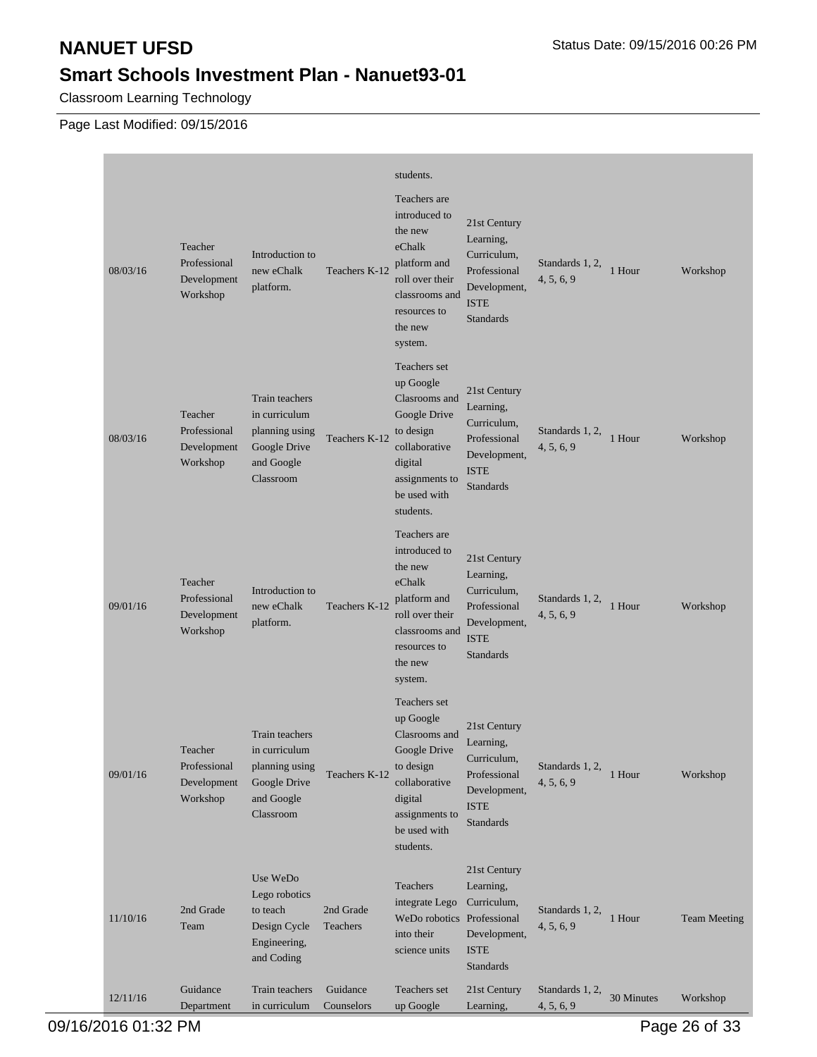Classroom Learning Technology

Page Last Modified: 09/15/2016

| 08/03/16 | Teacher<br>Professional<br>Development<br>Workshop | Introduction to<br>new eChalk<br>platform.                                                   | Teachers K-12          | students.<br>Teachers are<br>introduced to<br>the new<br>eChalk<br>platform and<br>roll over their<br>classrooms and<br>resources to<br>the new<br>system. | 21st Century<br>Learning,<br>Curriculum,<br>Professional<br>Development,<br>ISTE<br>Standards               | Standards 1, 2,<br>4, 5, 6, 9 | 1 Hour     | Workshop            |
|----------|----------------------------------------------------|----------------------------------------------------------------------------------------------|------------------------|------------------------------------------------------------------------------------------------------------------------------------------------------------|-------------------------------------------------------------------------------------------------------------|-------------------------------|------------|---------------------|
| 08/03/16 | Teacher<br>Professional<br>Development<br>Workshop | Train teachers<br>in curriculum<br>planning using<br>Google Drive<br>and Google<br>Classroom | Teachers K-12          | Teachers set<br>up Google<br>Clasrooms and<br>Google Drive<br>to design<br>collaborative<br>digital<br>assignments to<br>be used with<br>students.         | 21st Century<br>Learning,<br>Curriculum,<br>Professional<br>Development,<br><b>ISTE</b><br><b>Standards</b> | Standards 1, 2,<br>4, 5, 6, 9 | 1 Hour     | Workshop            |
| 09/01/16 | Teacher<br>Professional<br>Development<br>Workshop | Introduction to<br>new eChalk<br>platform.                                                   | Teachers K-12          | Teachers are<br>introduced to<br>the new<br>eChalk<br>platform and<br>roll over their<br>classrooms and<br>resources to<br>the new<br>system.              | 21st Century<br>Learning,<br>Curriculum,<br>Professional<br>Development,<br><b>ISTE</b><br><b>Standards</b> | Standards 1, 2,<br>4, 5, 6, 9 | 1 Hour     | Workshop            |
| 09/01/16 | Teacher<br>Professional<br>Development<br>Workshop | Train teachers<br>in curriculum<br>planning using<br>Google Drive<br>and Google<br>Classroom | Teachers K-12          | Teachers set<br>up Google<br>Clasrooms and<br>Google Drive<br>to design<br>collaborative<br>digital<br>assignments to<br>be used with<br>students.         | 21st Century<br>Learning,<br>Curriculum,<br>Professional<br>Development,<br><b>ISTE</b><br>Standards        | Standards 1, 2,<br>4, 5, 6, 9 | 1 Hour     | Workshop            |
| 11/10/16 | 2nd Grade<br>Team                                  | Use WeDo<br>Lego robotics<br>to teach<br>Design Cycle<br>Engineering,<br>and Coding          | 2nd Grade<br>Teachers  | Teachers<br>integrate Lego<br>WeDo robotics Professional<br>into their<br>science units                                                                    | 21st Century<br>Learning,<br>Curriculum,<br>Development,<br><b>ISTE</b><br><b>Standards</b>                 | Standards 1, 2,<br>4, 5, 6, 9 | 1 Hour     | <b>Team Meeting</b> |
| 12/11/16 | Guidance<br>Department                             | Train teachers<br>in curriculum                                                              | Guidance<br>Counselors | Teachers set<br>up Google                                                                                                                                  | 21st Century<br>Learning,                                                                                   | Standards 1, 2,<br>4, 5, 6, 9 | 30 Minutes | Workshop            |

09/16/2016 01:32 PM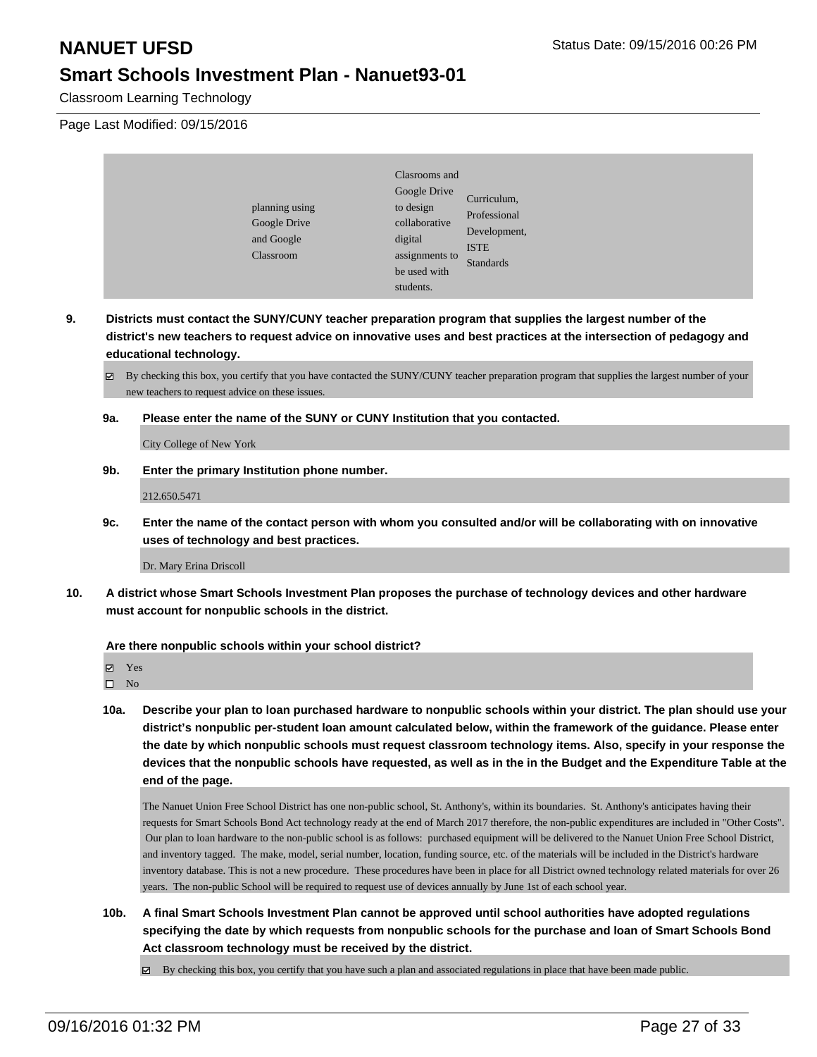Classroom Learning Technology

Page Last Modified: 09/15/2016

| planning using<br>Google Drive<br>and Google<br>Classroom | Clasrooms and<br>Google Drive<br>to design<br>collaborative<br>digital<br>assignments to<br>be used with<br>students. | Curriculum,<br>Professional<br>Development,<br><b>ISTE</b><br><b>Standards</b> |
|-----------------------------------------------------------|-----------------------------------------------------------------------------------------------------------------------|--------------------------------------------------------------------------------|
|-----------------------------------------------------------|-----------------------------------------------------------------------------------------------------------------------|--------------------------------------------------------------------------------|

**9. Districts must contact the SUNY/CUNY teacher preparation program that supplies the largest number of the district's new teachers to request advice on innovative uses and best practices at the intersection of pedagogy and educational technology.**

By checking this box, you certify that you have contacted the SUNY/CUNY teacher preparation program that supplies the largest number of your new teachers to request advice on these issues.

**9a. Please enter the name of the SUNY or CUNY Institution that you contacted.**

City College of New York

**9b. Enter the primary Institution phone number.**

212.650.5471

**9c. Enter the name of the contact person with whom you consulted and/or will be collaborating with on innovative uses of technology and best practices.**

Dr. Mary Erina Driscoll

**10. A district whose Smart Schools Investment Plan proposes the purchase of technology devices and other hardware must account for nonpublic schools in the district.**

### **Are there nonpublic schools within your school district?**

Yes

 $\square$  No

**10a. Describe your plan to loan purchased hardware to nonpublic schools within your district. The plan should use your district's nonpublic per-student loan amount calculated below, within the framework of the guidance. Please enter the date by which nonpublic schools must request classroom technology items. Also, specify in your response the devices that the nonpublic schools have requested, as well as in the in the Budget and the Expenditure Table at the end of the page.**

The Nanuet Union Free School District has one non-public school, St. Anthony's, within its boundaries. St. Anthony's anticipates having their requests for Smart Schools Bond Act technology ready at the end of March 2017 therefore, the non-public expenditures are included in "Other Costs". Our plan to loan hardware to the non-public school is as follows: purchased equipment will be delivered to the Nanuet Union Free School District, and inventory tagged. The make, model, serial number, location, funding source, etc. of the materials will be included in the District's hardware inventory database. This is not a new procedure. These procedures have been in place for all District owned technology related materials for over 26 years. The non-public School will be required to request use of devices annually by June 1st of each school year.

**10b. A final Smart Schools Investment Plan cannot be approved until school authorities have adopted regulations specifying the date by which requests from nonpublic schools for the purchase and loan of Smart Schools Bond Act classroom technology must be received by the district.**

By checking this box, you certify that you have such a plan and associated regulations in place that have been made public.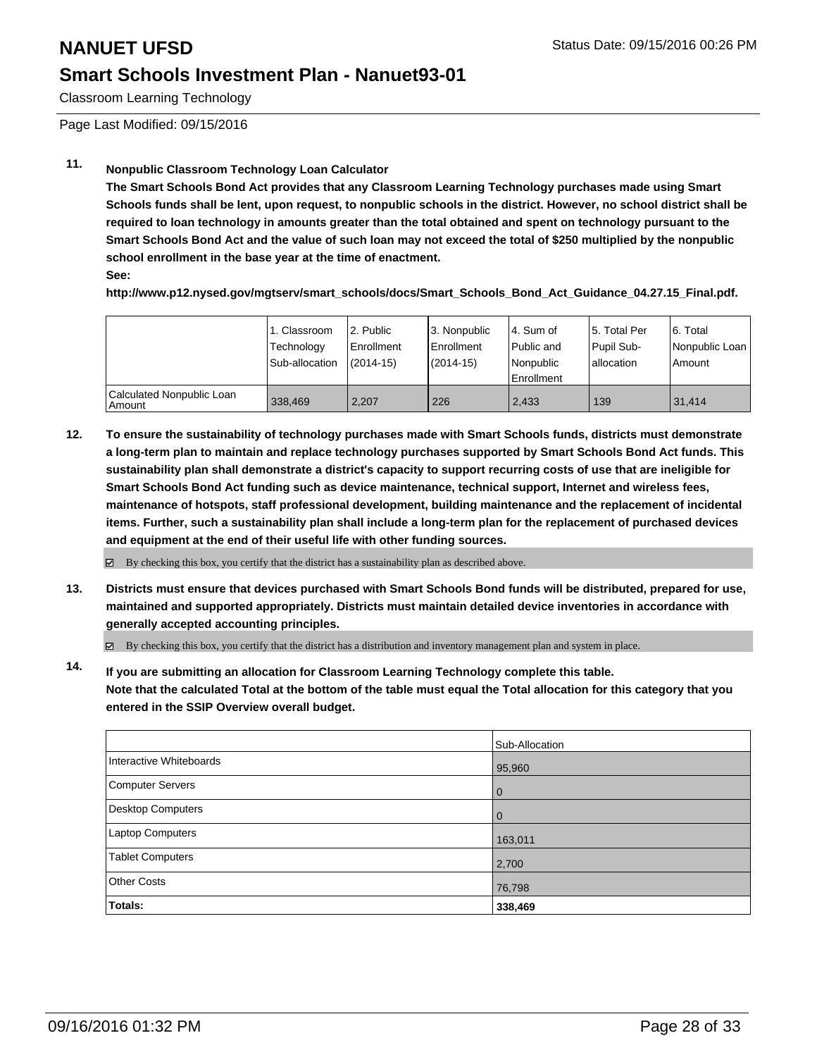Classroom Learning Technology

Page Last Modified: 09/15/2016

### **11. Nonpublic Classroom Technology Loan Calculator**

**The Smart Schools Bond Act provides that any Classroom Learning Technology purchases made using Smart Schools funds shall be lent, upon request, to nonpublic schools in the district. However, no school district shall be required to loan technology in amounts greater than the total obtained and spent on technology pursuant to the Smart Schools Bond Act and the value of such loan may not exceed the total of \$250 multiplied by the nonpublic school enrollment in the base year at the time of enactment.**

**See:**

**http://www.p12.nysed.gov/mgtserv/smart\_schools/docs/Smart\_Schools\_Bond\_Act\_Guidance\_04.27.15\_Final.pdf.**

|                                     | 1. Classroom<br>Technology<br>Sub-allocation | 2. Public<br>Enrollment<br>$(2014 - 15)$ | 3. Nonpublic<br><b>Enrollment</b><br>(2014-15) | 4. Sum of<br>Public and<br>Nonpublic<br>l Enrollment | 15. Total Per<br>Pupil Sub-<br>Iallocation | 6. Total<br>Nonpublic Loan<br>Amount |
|-------------------------------------|----------------------------------------------|------------------------------------------|------------------------------------------------|------------------------------------------------------|--------------------------------------------|--------------------------------------|
| Calculated Nonpublic Loan<br>Amount | 338.469                                      | 2.207                                    | 226                                            | 2.433                                                | 139                                        | 31.414                               |

**12. To ensure the sustainability of technology purchases made with Smart Schools funds, districts must demonstrate a long-term plan to maintain and replace technology purchases supported by Smart Schools Bond Act funds. This sustainability plan shall demonstrate a district's capacity to support recurring costs of use that are ineligible for Smart Schools Bond Act funding such as device maintenance, technical support, Internet and wireless fees, maintenance of hotspots, staff professional development, building maintenance and the replacement of incidental items. Further, such a sustainability plan shall include a long-term plan for the replacement of purchased devices and equipment at the end of their useful life with other funding sources.**

 $\boxtimes$  By checking this box, you certify that the district has a sustainability plan as described above.

**13. Districts must ensure that devices purchased with Smart Schools Bond funds will be distributed, prepared for use, maintained and supported appropriately. Districts must maintain detailed device inventories in accordance with generally accepted accounting principles.**

By checking this box, you certify that the district has a distribution and inventory management plan and system in place.

**14. If you are submitting an allocation for Classroom Learning Technology complete this table. Note that the calculated Total at the bottom of the table must equal the Total allocation for this category that you entered in the SSIP Overview overall budget.**

|                          | Sub-Allocation |
|--------------------------|----------------|
| Interactive Whiteboards  | 95,960         |
| <b>Computer Servers</b>  | $\overline{0}$ |
| <b>Desktop Computers</b> | $\Omega$       |
| Laptop Computers         | 163,011        |
| <b>Tablet Computers</b>  | 2,700          |
| <b>Other Costs</b>       | 76,798         |
| Totals:                  | 338,469        |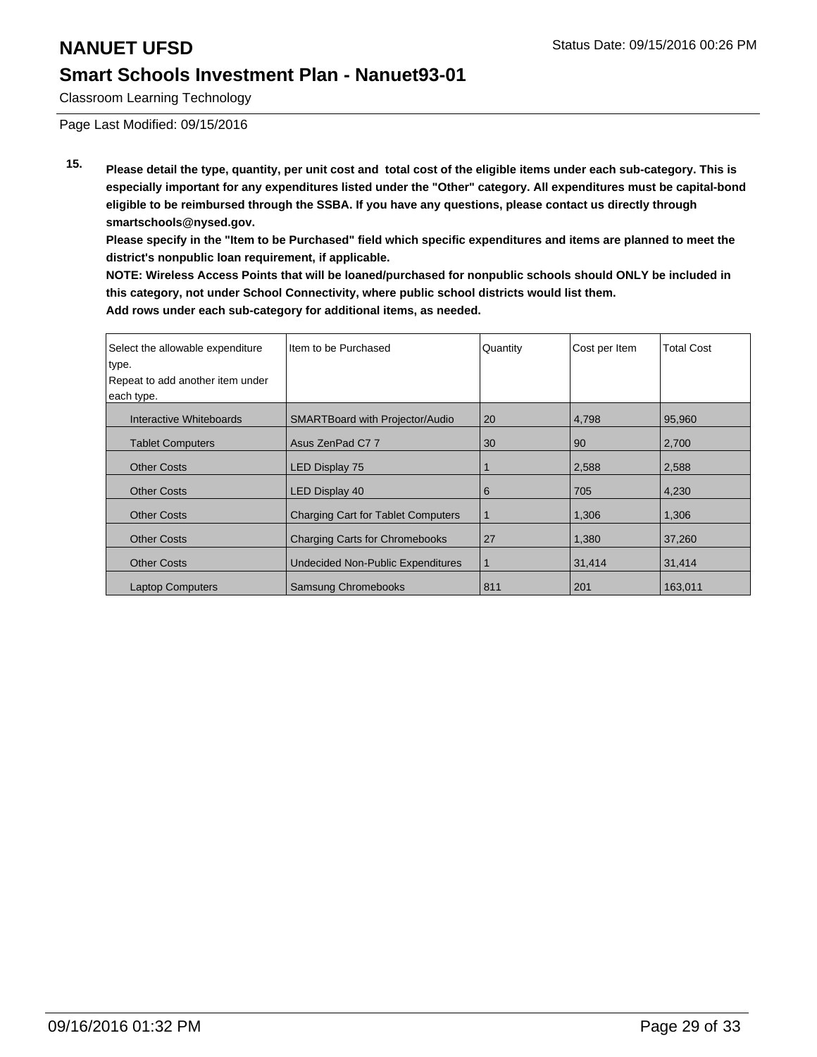Classroom Learning Technology

Page Last Modified: 09/15/2016

**15. Please detail the type, quantity, per unit cost and total cost of the eligible items under each sub-category. This is especially important for any expenditures listed under the "Other" category. All expenditures must be capital-bond eligible to be reimbursed through the SSBA. If you have any questions, please contact us directly through smartschools@nysed.gov.**

**Please specify in the "Item to be Purchased" field which specific expenditures and items are planned to meet the district's nonpublic loan requirement, if applicable.**

**NOTE: Wireless Access Points that will be loaned/purchased for nonpublic schools should ONLY be included in this category, not under School Connectivity, where public school districts would list them. Add rows under each sub-category for additional items, as needed.**

| Select the allowable expenditure<br>type.<br>Repeat to add another item under<br>each type. | Item to be Purchased                      | Quantity | Cost per Item | <b>Total Cost</b> |
|---------------------------------------------------------------------------------------------|-------------------------------------------|----------|---------------|-------------------|
| Interactive Whiteboards                                                                     | <b>SMARTBoard with Projector/Audio</b>    | 20       | 4,798         | 95,960            |
| <b>Tablet Computers</b>                                                                     | Asus ZenPad C77                           | 30       | 90            | 2,700             |
| <b>Other Costs</b>                                                                          | <b>LED Display 75</b>                     |          | 2,588         | 2,588             |
| <b>Other Costs</b>                                                                          | LED Display 40                            | 6        | 705           | 4,230             |
| <b>Other Costs</b>                                                                          | <b>Charging Cart for Tablet Computers</b> | 1        | 1,306         | 1,306             |
| <b>Other Costs</b>                                                                          | <b>Charging Carts for Chromebooks</b>     | 27       | 1,380         | 37,260            |
| <b>Other Costs</b>                                                                          | <b>Undecided Non-Public Expenditures</b>  | 11       | 31.414        | 31.414            |
| <b>Laptop Computers</b>                                                                     | <b>Samsung Chromebooks</b>                | 811      | 201           | 163,011           |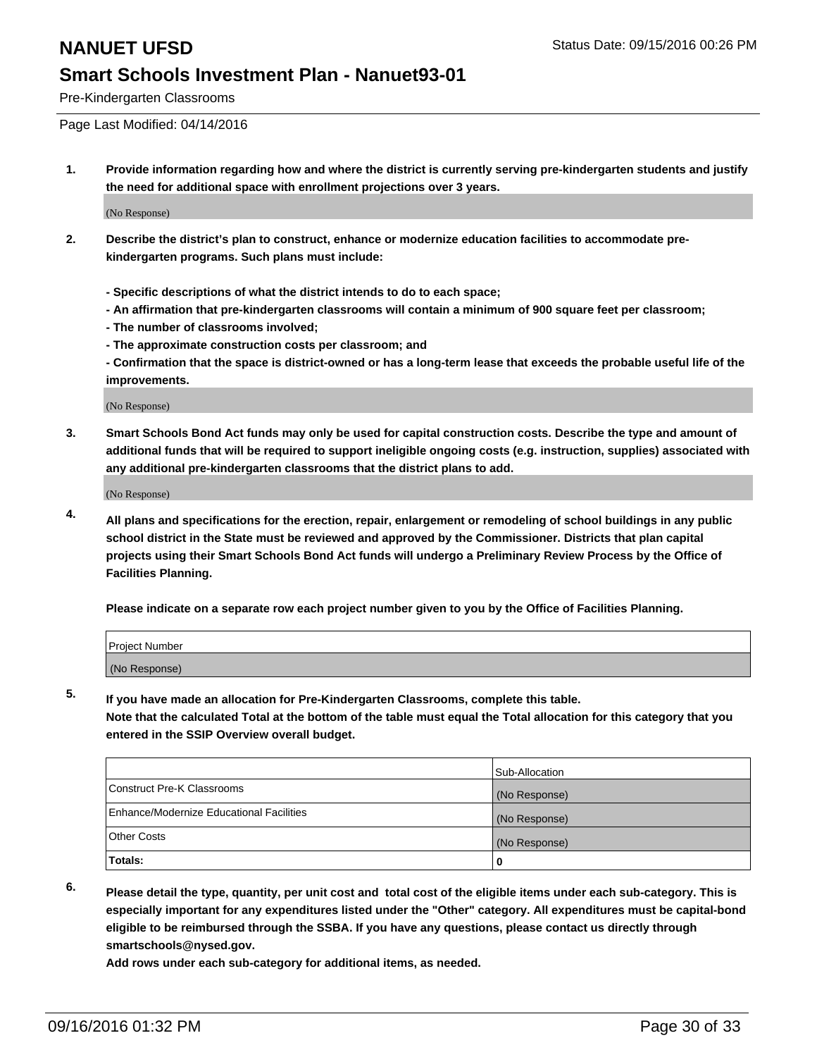Pre-Kindergarten Classrooms

Page Last Modified: 04/14/2016

**1. Provide information regarding how and where the district is currently serving pre-kindergarten students and justify the need for additional space with enrollment projections over 3 years.**

(No Response)

- **2. Describe the district's plan to construct, enhance or modernize education facilities to accommodate prekindergarten programs. Such plans must include:**
	- **Specific descriptions of what the district intends to do to each space;**
	- **An affirmation that pre-kindergarten classrooms will contain a minimum of 900 square feet per classroom;**
	- **The number of classrooms involved;**
	- **The approximate construction costs per classroom; and**
	- **Confirmation that the space is district-owned or has a long-term lease that exceeds the probable useful life of the improvements.**

(No Response)

**3. Smart Schools Bond Act funds may only be used for capital construction costs. Describe the type and amount of additional funds that will be required to support ineligible ongoing costs (e.g. instruction, supplies) associated with any additional pre-kindergarten classrooms that the district plans to add.**

(No Response)

**4. All plans and specifications for the erection, repair, enlargement or remodeling of school buildings in any public school district in the State must be reviewed and approved by the Commissioner. Districts that plan capital projects using their Smart Schools Bond Act funds will undergo a Preliminary Review Process by the Office of Facilities Planning.**

**Please indicate on a separate row each project number given to you by the Office of Facilities Planning.**

| Project Number |  |
|----------------|--|
| (No Response)  |  |

**5. If you have made an allocation for Pre-Kindergarten Classrooms, complete this table.**

**Note that the calculated Total at the bottom of the table must equal the Total allocation for this category that you entered in the SSIP Overview overall budget.**

|                                          | Sub-Allocation |
|------------------------------------------|----------------|
| Construct Pre-K Classrooms               | (No Response)  |
| Enhance/Modernize Educational Facilities | (No Response)  |
| Other Costs                              | (No Response)  |
| Totals:                                  |                |

**6. Please detail the type, quantity, per unit cost and total cost of the eligible items under each sub-category. This is especially important for any expenditures listed under the "Other" category. All expenditures must be capital-bond eligible to be reimbursed through the SSBA. If you have any questions, please contact us directly through smartschools@nysed.gov.**

**Add rows under each sub-category for additional items, as needed.**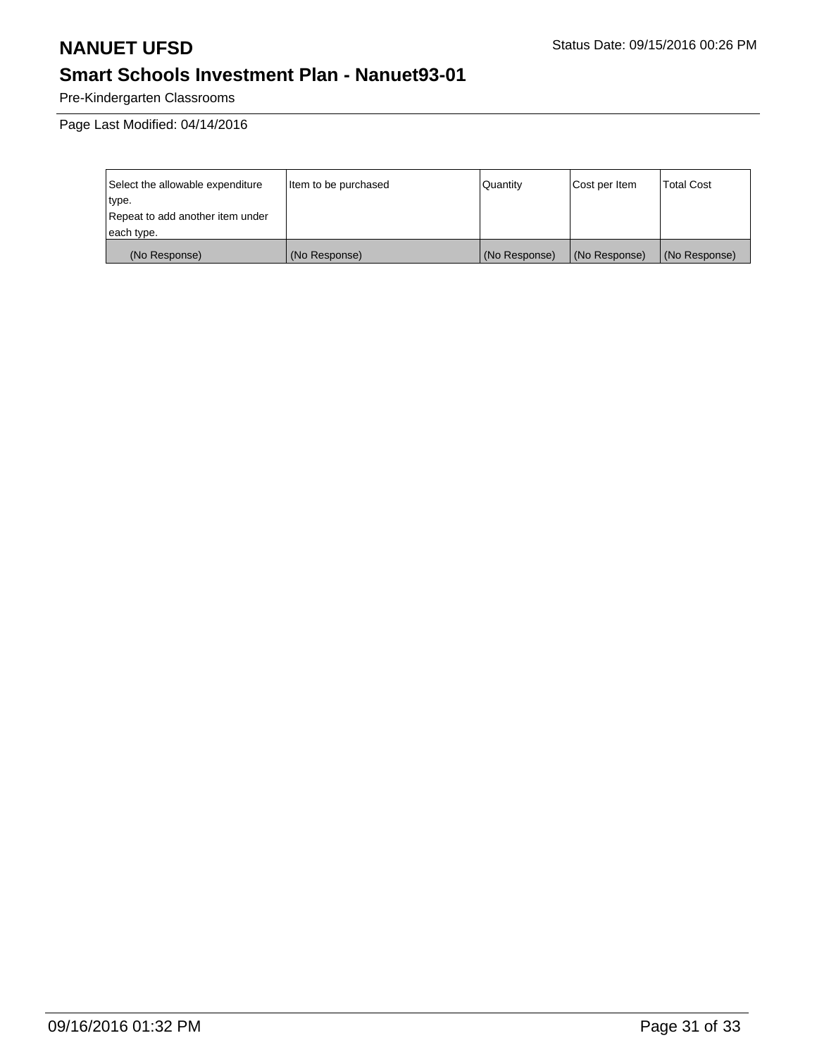Pre-Kindergarten Classrooms

| Select the allowable expenditure | Item to be purchased | Quantity      | Cost per Item | <b>Total Cost</b> |
|----------------------------------|----------------------|---------------|---------------|-------------------|
| type.                            |                      |               |               |                   |
| Repeat to add another item under |                      |               |               |                   |
| each type.                       |                      |               |               |                   |
| (No Response)                    | (No Response)        | (No Response) | (No Response) | (No Response)     |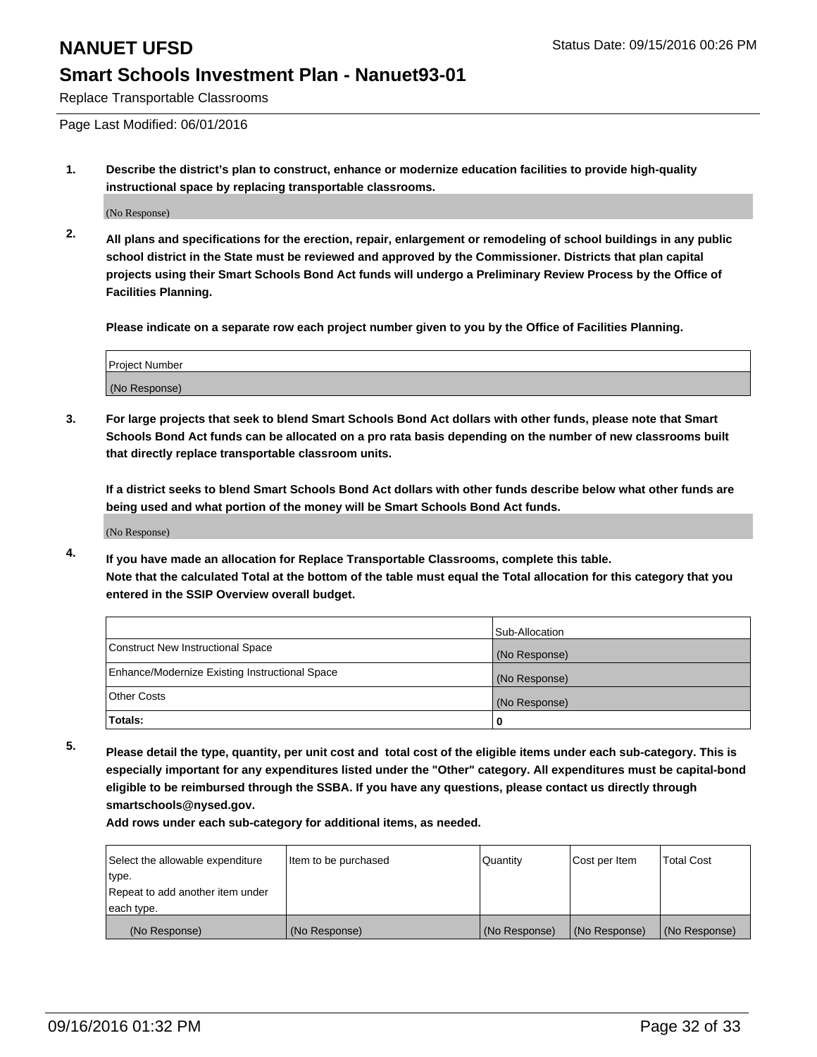Replace Transportable Classrooms

Page Last Modified: 06/01/2016

**1. Describe the district's plan to construct, enhance or modernize education facilities to provide high-quality instructional space by replacing transportable classrooms.**

(No Response)

**2. All plans and specifications for the erection, repair, enlargement or remodeling of school buildings in any public school district in the State must be reviewed and approved by the Commissioner. Districts that plan capital projects using their Smart Schools Bond Act funds will undergo a Preliminary Review Process by the Office of Facilities Planning.**

**Please indicate on a separate row each project number given to you by the Office of Facilities Planning.**

| Project Number |  |
|----------------|--|
| (No Response)  |  |

**3. For large projects that seek to blend Smart Schools Bond Act dollars with other funds, please note that Smart Schools Bond Act funds can be allocated on a pro rata basis depending on the number of new classrooms built that directly replace transportable classroom units.**

**If a district seeks to blend Smart Schools Bond Act dollars with other funds describe below what other funds are being used and what portion of the money will be Smart Schools Bond Act funds.**

(No Response)

**4. If you have made an allocation for Replace Transportable Classrooms, complete this table. Note that the calculated Total at the bottom of the table must equal the Total allocation for this category that you entered in the SSIP Overview overall budget.**

|                                                | Sub-Allocation |
|------------------------------------------------|----------------|
| Construct New Instructional Space              | (No Response)  |
| Enhance/Modernize Existing Instructional Space | (No Response)  |
| Other Costs                                    | (No Response)  |
| Totals:                                        | 0              |

**5. Please detail the type, quantity, per unit cost and total cost of the eligible items under each sub-category. This is especially important for any expenditures listed under the "Other" category. All expenditures must be capital-bond eligible to be reimbursed through the SSBA. If you have any questions, please contact us directly through smartschools@nysed.gov.**

**Add rows under each sub-category for additional items, as needed.**

| Select the allowable expenditure | Item to be purchased | Quantity      | Cost per Item | <b>Total Cost</b> |
|----------------------------------|----------------------|---------------|---------------|-------------------|
| type.                            |                      |               |               |                   |
| Repeat to add another item under |                      |               |               |                   |
| each type.                       |                      |               |               |                   |
| (No Response)                    | (No Response)        | (No Response) | (No Response) | (No Response)     |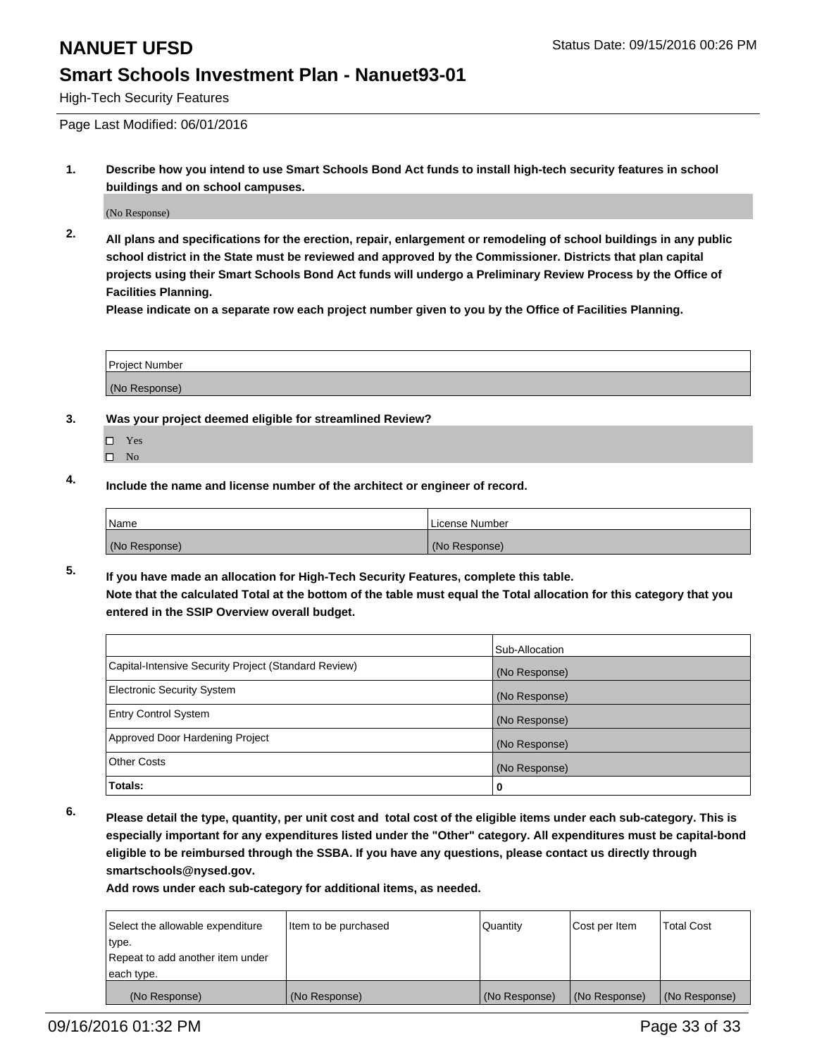High-Tech Security Features

Page Last Modified: 06/01/2016

**1. Describe how you intend to use Smart Schools Bond Act funds to install high-tech security features in school buildings and on school campuses.**

(No Response)

**2. All plans and specifications for the erection, repair, enlargement or remodeling of school buildings in any public school district in the State must be reviewed and approved by the Commissioner. Districts that plan capital projects using their Smart Schools Bond Act funds will undergo a Preliminary Review Process by the Office of Facilities Planning.** 

**Please indicate on a separate row each project number given to you by the Office of Facilities Planning.**

| <b>Project Number</b> |  |
|-----------------------|--|
| (No Response)         |  |

- **3. Was your project deemed eligible for streamlined Review?**
	- □ Yes
	- $\square$  No
- **4. Include the name and license number of the architect or engineer of record.**

| <b>Name</b>   | License Number |
|---------------|----------------|
| (No Response) | (No Response)  |

**5. If you have made an allocation for High-Tech Security Features, complete this table. Note that the calculated Total at the bottom of the table must equal the Total allocation for this category that you entered in the SSIP Overview overall budget.**

|                                                      | Sub-Allocation |
|------------------------------------------------------|----------------|
| Capital-Intensive Security Project (Standard Review) | (No Response)  |
| <b>Electronic Security System</b>                    | (No Response)  |
| <b>Entry Control System</b>                          | (No Response)  |
| Approved Door Hardening Project                      | (No Response)  |
| <b>Other Costs</b>                                   | (No Response)  |
| Totals:                                              | 0              |

**6. Please detail the type, quantity, per unit cost and total cost of the eligible items under each sub-category. This is especially important for any expenditures listed under the "Other" category. All expenditures must be capital-bond eligible to be reimbursed through the SSBA. If you have any questions, please contact us directly through smartschools@nysed.gov.**

**Add rows under each sub-category for additional items, as needed.**

| Select the allowable expenditure | Item to be purchased | Quantity      | Cost per Item | <b>Total Cost</b> |
|----------------------------------|----------------------|---------------|---------------|-------------------|
| type.                            |                      |               |               |                   |
| Repeat to add another item under |                      |               |               |                   |
| each type.                       |                      |               |               |                   |
| (No Response)                    | (No Response)        | (No Response) | (No Response) | (No Response)     |